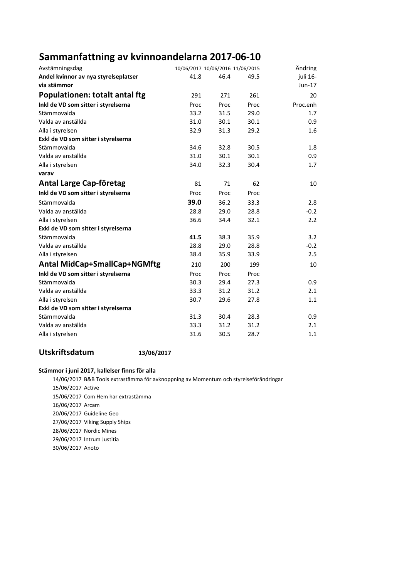## Sammanfattning av kvinnoandelarna 2017-06-10

| Avstämningsdag                        | 10/06/2017 10/06/2016 11/06/2015 |      |      | Ändring  |
|---------------------------------------|----------------------------------|------|------|----------|
| Andel kvinnor av nya styrelseplatser  | 41.8                             | 46.4 | 49.5 | juli 16- |
| via stämmor                           |                                  |      |      | $Jun-17$ |
| <b>Populationen: totalt antal ftg</b> | 291                              | 271  | 261  | 20       |
| Inkl de VD som sitter i styrelserna   | Proc                             | Proc | Proc | Proc.enh |
| Stämmovalda                           | 33.2                             | 31.5 | 29.0 | 1.7      |
| Valda av anställda                    | 31.0                             | 30.1 | 30.1 | 0.9      |
| Alla i styrelsen                      | 32.9                             | 31.3 | 29.2 | 1.6      |
| Exkl de VD som sitter i styrelserna   |                                  |      |      |          |
| Stämmovalda                           | 34.6                             | 32.8 | 30.5 | 1.8      |
| Valda av anställda                    | 31.0                             | 30.1 | 30.1 | 0.9      |
| Alla i styrelsen                      | 34.0                             | 32.3 | 30.4 | 1.7      |
| varav                                 |                                  |      |      |          |
| <b>Antal Large Cap-företag</b>        | 81                               | 71   | 62   | 10       |
| Inkl de VD som sitter i styrelserna   | Proc                             | Proc | Proc |          |
| Stämmovalda                           | 39.0                             | 36.2 | 33.3 | 2.8      |
| Valda av anställda                    | 28.8                             | 29.0 | 28.8 | $-0.2$   |
| Alla i styrelsen                      | 36.6                             | 34.4 | 32.1 | 2.2      |
| Exkl de VD som sitter i styrelserna   |                                  |      |      |          |
| Stämmovalda                           | 41.5                             | 38.3 | 35.9 | 3.2      |
| Valda av anställda                    | 28.8                             | 29.0 | 28.8 | $-0.2$   |
| Alla i styrelsen                      | 38.4                             | 35.9 | 33.9 | 2.5      |
| <b>Antal MidCap+SmallCap+NGMftg</b>   | 210                              | 200  | 199  | 10       |
| Inkl de VD som sitter i styrelserna   | Proc                             | Proc | Proc |          |
| Stämmovalda                           | 30.3                             | 29.4 | 27.3 | 0.9      |
| Valda av anställda                    | 33.3                             | 31.2 | 31.2 | 2.1      |
| Alla i styrelsen                      | 30.7                             | 29.6 | 27.8 | 1.1      |
| Exkl de VD som sitter i styrelserna   |                                  |      |      |          |
| Stämmovalda                           | 31.3                             | 30.4 | 28.3 | 0.9      |
| Valda av anställda                    | 33.3                             | 31.2 | 31.2 | 2.1      |
| Alla i styrelsen                      | 31.6                             | 30.5 | 28.7 | 1.1      |

#### Utskriftsdatum 13/06/2017

#### Stämmor i juni 2017, kallelser finns för alla

14/06/2017 B&B Tools extrastämma för avknoppning av Momentum och styrelseförändringar 15/06/2017 Active 15/06/2017 Com Hem har extrastämma 16/06/2017 Arcam 20/06/2017 Guideline Geo 27/06/2017 Viking Supply Ships 28/06/2017 Nordic Mines 29/06/2017 Intrum Justitia 30/06/2017 Anoto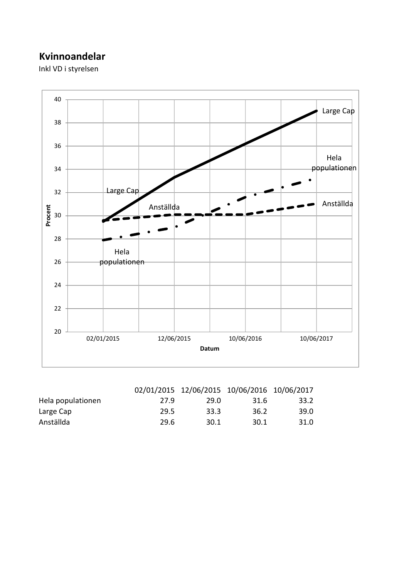## Kvinnoandelar

Inkl VD i styrelsen



|                   |      | 02/01/2015 12/06/2015 10/06/2016 10/06/2017 |      |      |
|-------------------|------|---------------------------------------------|------|------|
| Hela populationen | 27.9 | 29.0                                        | 31.6 | 33.2 |
| Large Cap         | 29.5 | 33.3                                        | 36.2 | 39.0 |
| Anställda         | 29.6 | 30.1                                        | 30.1 | 31.0 |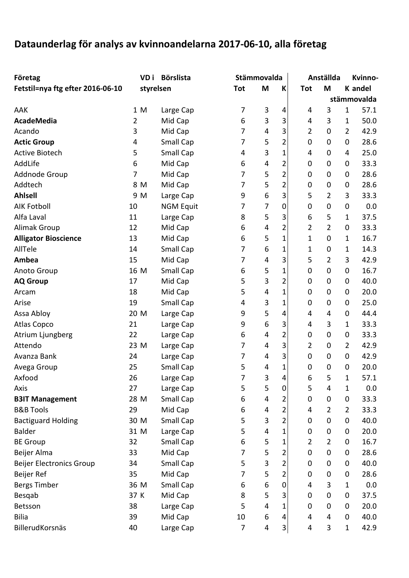# Dataunderlag för analys av kvinnoandelarna 2017-06-10, alla företag

| Företag                          |                | VD i      | <b>Börslista</b> |                         | Stämmovalda |                |                | Anställda   |                | Kvinno-     |
|----------------------------------|----------------|-----------|------------------|-------------------------|-------------|----------------|----------------|-------------|----------------|-------------|
| Fetstil=nya ftg efter 2016-06-10 |                | styrelsen |                  | <b>Tot</b>              | M           | K              | <b>Tot</b>     | M           |                | K andel     |
|                                  |                |           |                  |                         |             |                |                |             |                | stämmovalda |
| AAK                              |                | 1 M       | Large Cap        | 7                       | 3           | 4              | 4              | 3           | 1              | 57.1        |
| <b>AcadeMedia</b>                | $\overline{2}$ |           | Mid Cap          | 6                       | 3           | 3              | 4              | 3           | 1              | 50.0        |
| Acando                           | 3              |           | Mid Cap          | 7                       | 4           | 3              | $\overline{2}$ | $\pmb{0}$   | $\overline{2}$ | 42.9        |
| <b>Actic Group</b>               | 4              |           | Small Cap        | 7                       | 5           | $\overline{2}$ | 0              | 0           | 0              | 28.6        |
| <b>Active Biotech</b>            | 5              |           | Small Cap        | $\overline{\mathbf{4}}$ | 3           | $\mathbf{1}$   | 4              | $\pmb{0}$   | 4              | 25.0        |
| AddLife                          | 6              |           | Mid Cap          | 6                       | 4           | $\overline{2}$ | 0              | 0           | 0              | 33.3        |
| Addnode Group                    | 7              |           | Mid Cap          | 7                       | 5           | $\overline{2}$ | 0              | 0           | 0              | 28.6        |
| Addtech                          |                | 8 M       | Mid Cap          | 7                       | 5           | $\overline{2}$ | 0              | $\mathbf 0$ | $\mathbf 0$    | 28.6        |
| <b>Ahlsell</b>                   |                | 9 M       | Large Cap        | 9                       | 6           | 3              | 5              | 2           | 3              | 33.3        |
| <b>AIK Fotboll</b>               | 10             |           | <b>NGM Equit</b> | 7                       | 7           | 0              | $\pmb{0}$      | $\pmb{0}$   | $\pmb{0}$      | 0.0         |
| Alfa Laval                       | 11             |           | Large Cap        | 8                       | 5           | 3              | 6              | 5           | 1              | 37.5        |
| <b>Alimak Group</b>              | 12             |           | Mid Cap          | 6                       | 4           | $\overline{2}$ | 2              | 2           | 0              | 33.3        |
| <b>Alligator Bioscience</b>      | 13             |           | Mid Cap          | 6                       | 5           | $\mathbf{1}$   | $\mathbf{1}$   | 0           | 1              | 16.7        |
| AllTele                          | 14             |           | Small Cap        | 7                       | 6           | $\mathbf 1$    | $\mathbf 1$    | 0           | 1              | 14.3        |
| Ambea                            | 15             |           | Mid Cap          | 7                       | 4           | 3              | 5              | 2           | 3              | 42.9        |
| Anoto Group                      | 16 M           |           | Small Cap        | 6                       | 5           | $\mathbf 1$    | 0              | 0           | 0              | 16.7        |
| <b>AQ Group</b>                  | 17             |           | Mid Cap          | 5                       | 3           | $\overline{2}$ | 0              | 0           | 0              | 40.0        |
| Arcam                            | 18             |           | Mid Cap          | 5                       | 4           | $\mathbf{1}$   | 0              | $\mathbf 0$ | 0              | 20.0        |
| Arise                            | 19             |           | Small Cap        | 4                       | 3           | $\mathbf 1$    | $\pmb{0}$      | 0           | 0              | 25.0        |
| Assa Abloy                       | 20 M           |           | Large Cap        | 9                       | 5           | 4              | 4              | 4           | 0              | 44.4        |
| Atlas Copco                      | 21             |           | Large Cap        | 9                       | 6           | 3              | 4              | 3           | 1              | 33.3        |
| Atrium Ljungberg                 | 22             |           | Large Cap        | 6                       | 4           | $\overline{2}$ | $\pmb{0}$      | $\pmb{0}$   | 0              | 33.3        |
| Attendo                          | 23 M           |           | Large Cap        | 7                       | 4           | 3              | $\overline{2}$ | $\pmb{0}$   | $\overline{2}$ | 42.9        |
| Avanza Bank                      | 24             |           | Large Cap        | 7                       | 4           | 3              | 0              | 0           | 0              | 42.9        |
| Avega Group                      | 25             |           | Small Cap        | 5                       | 4           | $\mathbf 1$    | $\mathbf 0$    | $\mathbf 0$ | $\mathbf 0$    | 20.0        |
| Axfood                           | 26             |           | Large Cap        | 7                       | 3           | 4              | 6              | 5           | 1              | 57.1        |
| Axis                             | 27             |           | Large Cap        | 5                       | 5           | $\pmb{0}$      | 5              | 4           | 1              | 0.0         |
| <b>B3IT Management</b>           | 28 M           |           | Small Cap        | 6                       | 4           | 2              | 0              | 0           | $\pmb{0}$      | 33.3        |
| <b>B&amp;B Tools</b>             | 29             |           | Mid Cap          | 6                       | 4           | 2              | 4              | 2           | $\overline{2}$ | 33.3        |
| <b>Bactiguard Holding</b>        | 30 M           |           | <b>Small Cap</b> | 5                       | 3           | $\overline{2}$ | 0              | $\pmb{0}$   | $\pmb{0}$      | 40.0        |
| <b>Balder</b>                    | 31 M           |           | Large Cap        | 5                       | 4           | 1              | 0              | 0           | 0              | 20.0        |
| <b>BE Group</b>                  | 32             |           | Small Cap        | 6                       | 5           | 1              | $\overline{2}$ | 2           | 0              | 16.7        |
| Beijer Alma                      | 33             |           | Mid Cap          | 7                       | 5           | 2              | 0              | 0           | 0              | 28.6        |
| <b>Beijer Electronics Group</b>  | 34             |           | Small Cap        | 5                       | 3           | $\overline{2}$ | 0              | 0           | 0              | 40.0        |
| Beijer Ref                       | 35             |           | Mid Cap          | 7                       | 5           | $\overline{2}$ | 0              | 0           | 0              | 28.6        |
| Bergs Timber                     | 36 M           |           | Small Cap        | 6                       | 6           | 0              | 4              | 3           | 1              | 0.0         |
| Besqab                           | 37 K           |           | Mid Cap          | 8                       | 5           | 3              | 0              | $\mathbf 0$ | 0              | 37.5        |
| Betsson                          | 38             |           | Large Cap        | 5                       | 4           | 1              | 0              | $\pmb{0}$   | 0              | 20.0        |
| <b>Bilia</b>                     | 39             |           | Mid Cap          | 10                      | 6           | 4              | 4              | 4           | 0              | 40.0        |
| BillerudKorsnäs                  | 40             |           | Large Cap        | $\overline{7}$          | 4           | 3              | 4              | 3           | 1              | 42.9        |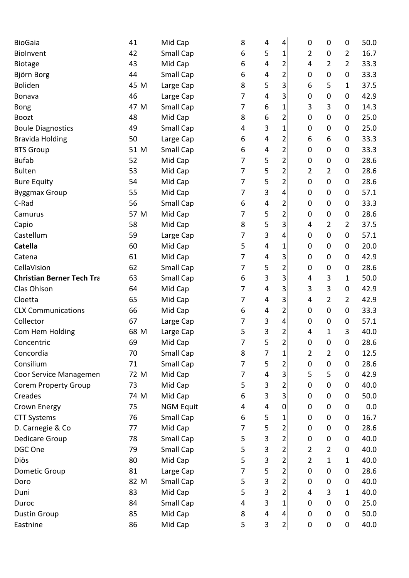| <b>BioGaia</b>                   | 41   | Mid Cap          | 8              | 4                         | 4              | 0              | 0              | $\mathbf 0$      | 50.0    |
|----------------------------------|------|------------------|----------------|---------------------------|----------------|----------------|----------------|------------------|---------|
| Biolnvent                        | 42   | Small Cap        | 6              | 5                         | 1              | 2              | $\mathbf 0$    | 2                | 16.7    |
| <b>Biotage</b>                   | 43   | Mid Cap          | 6              | 4                         | 2              | 4              | $\overline{2}$ | $\overline{2}$   | 33.3    |
| Björn Borg                       | 44   | Small Cap        | 6              | 4                         | 2              | 0              | 0              | $\mathbf 0$      | 33.3    |
| <b>Boliden</b>                   | 45 M | Large Cap        | 8              | 5                         | 3              | 6              | 5              | 1                | 37.5    |
| Bonava                           | 46   | Large Cap        | 7              | 4                         | 3              | 0              | $\pmb{0}$      | 0                | 42.9    |
| <b>Bong</b>                      | 47 M | Small Cap        | 7              | 6                         | 1              | 3              | 3              | 0                | 14.3    |
| <b>Boozt</b>                     | 48   | Mid Cap          | 8              | 6                         | 2              | 0              | 0              | 0                | 25.0    |
| <b>Boule Diagnostics</b>         | 49   | Small Cap        | 4              | $\mathbf{3}$              | 1              | 0              | $\mathbf 0$    | 0                | 25.0    |
| <b>Bravida Holding</b>           | 50   | Large Cap        | 6              | 4                         | 2              | 6              | 6              | $\mathbf 0$      | 33.3    |
| <b>BTS Group</b>                 | 51 M | Small Cap        | 6              | 4                         | 2              | 0              | 0              | $\mathbf 0$      | 33.3    |
| <b>Bufab</b>                     | 52   | Mid Cap          | 7              | 5                         | 2              | 0              | $\pmb{0}$      | 0                | 28.6    |
| <b>Bulten</b>                    | 53   | Mid Cap          | 7              | 5                         | 2              | 2              | $\overline{2}$ | 0                | 28.6    |
| <b>Bure Equity</b>               | 54   | Mid Cap          | $\overline{7}$ | 5                         | 2              | 0              | 0              | $\mathbf 0$      | 28.6    |
| <b>Byggmax Group</b>             | 55   | Mid Cap          | 7              | $\mathsf 3$               | 4              | 0              | 0              | $\mathbf 0$      | 57.1    |
| C-Rad                            | 56   | Small Cap        | 6              | 4                         | 2              | 0              | $\mathbf 0$    | 0                | 33.3    |
| Camurus                          | 57 M | Mid Cap          | 7              | 5                         | $\overline{2}$ | 0              | $\mathbf 0$    | 0                | 28.6    |
| Capio                            | 58   | Mid Cap          | 8              | 5                         | 3              | 4              | $\overline{2}$ | $\overline{2}$   | 37.5    |
| Castellum                        | 59   | Large Cap        | 7              | $\mathbf{3}$              | 4              | 0              | 0              | $\mathbf 0$      | 57.1    |
| <b>Catella</b>                   | 60   | Mid Cap          | 5              | 4                         | 1              | 0              | $\pmb{0}$      | 0                | 20.0    |
| Catena                           | 61   | Mid Cap          | 7              | 4                         | 3              | 0              | 0              | $\mathbf 0$      | 42.9    |
| CellaVision                      | 62   | Small Cap        | 7              | 5                         | 2              | 0              | $\pmb{0}$      | 0                | 28.6    |
| <b>Christian Berner Tech Tra</b> | 63   | Small Cap        | 6              | $\mathsf 3$               | 3              | 4              | 3              | $\mathbf{1}$     | 50.0    |
| Clas Ohlson                      | 64   | Mid Cap          | 7              | $\overline{4}$            | 3              | 3              | 3              | 0                | 42.9    |
| Cloetta                          | 65   | Mid Cap          | 7              | 4                         | 3              | 4              | 2              | $\overline{2}$   | 42.9    |
| <b>CLX Communications</b>        | 66   | Mid Cap          | 6              | 4                         | 2              | 0              | 0              | 0                | 33.3    |
| Collector                        | 67   | Large Cap        | 7              | $\mathsf 3$               | 4              | 0              | $\mathbf 0$    | $\pmb{0}$        | 57.1    |
| Com Hem Holding                  | 68 M | Large Cap        | 5              | 3                         | 2              | 4              | 1              | 3                | 40.0    |
| Concentric                       | 69   | Mid Cap          | 7              | 5                         | $\overline{2}$ | 0              | $\mathbf 0$    | $\mathbf 0$      | 28.6    |
| Concordia                        | 70   | Small Cap        | 8              | 7                         | 1              | $\overline{2}$ | $\overline{2}$ | $\boldsymbol{0}$ | 12.5    |
| Consilium                        | 71   | Small Cap        | $\overline{7}$ | 5                         | $\overline{2}$ | $\pmb{0}$      | $\pmb{0}$      | 0                | 28.6    |
| Coor Service Managemen           | 72 M | Mid Cap          | 7              | 4                         | 3              | 5              | 5              | 0                | 42.9    |
| <b>Corem Property Group</b>      | 73   | Mid Cap          | 5              | $\mathsf 3$               | 2              | 0              | 0              | 0                | 40.0    |
| Creades                          | 74 M | Mid Cap          | 6              | $\mathsf 3$               | 3              | 0              | 0              | 0                | 50.0    |
| Crown Energy                     | 75   | <b>NGM Equit</b> | 4              | 4                         | 0              | 0              | $\pmb{0}$      | $\pmb{0}$        | $0.0\,$ |
| <b>CTT Systems</b>               | 76   | Small Cap        | 6              | 5                         | 1              | 0              | 0              | 0                | 16.7    |
| D. Carnegie & Co                 | 77   | Mid Cap          | 7              | 5                         | 2              | 0              | 0              | 0                | 28.6    |
| Dedicare Group                   | 78   | Small Cap        | 5              | $\mathsf 3$               | 2              | 0              | 0              | 0                | 40.0    |
| DGC One                          | 79   | Small Cap        | 5              | $\overline{\mathbf{3}}$   | 2              | $\overline{2}$ | $\overline{2}$ | 0                | 40.0    |
| Diös                             | 80   | Mid Cap          | 5              | $\mathsf 3$               | $\overline{2}$ | $\overline{2}$ | $\mathbf{1}$   | $\mathbf{1}$     | 40.0    |
| Dometic Group                    | 81   | Large Cap        | 7              | 5                         | 2              | 0              | 0              | 0                | 28.6    |
| Doro                             | 82 M | Small Cap        | 5              | $\ensuremath{\mathsf{3}}$ | 2              | 0              | 0              | 0                | 40.0    |
| Duni                             | 83   | Mid Cap          | 5              | $\ensuremath{\mathsf{3}}$ | $\overline{2}$ | 4              | 3              | $\mathbf{1}$     | 40.0    |
| Duroc                            | 84   | Small Cap        | 4              | $\mathbf{3}$              | 1              | 0              | 0              | 0                | 25.0    |
| <b>Dustin Group</b>              | 85   | Mid Cap          | 8              | 4                         | 4              | $\pmb{0}$      | $\pmb{0}$      | $\pmb{0}$        | 50.0    |
| Eastnine                         | 86   | Mid Cap          | 5              | 3                         | $\overline{2}$ | 0              | $\pmb{0}$      | $\pmb{0}$        | 40.0    |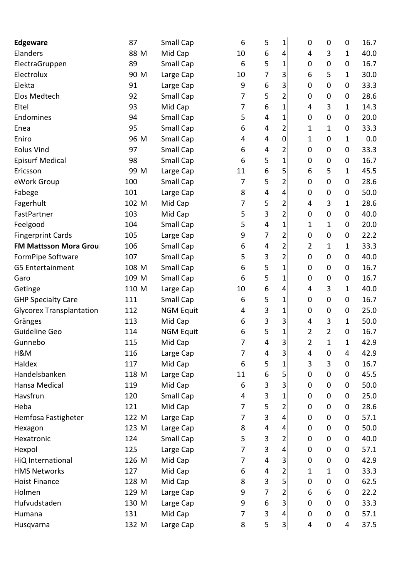| <b>Edgeware</b>                 | 87    | Small Cap        | 6              | 5                       | 1              | 0              | $\mathbf 0$    | $\mathbf 0$  | 16.7 |
|---------------------------------|-------|------------------|----------------|-------------------------|----------------|----------------|----------------|--------------|------|
| Elanders                        | 88 M  | Mid Cap          | 10             | 6                       | 4              | 4              | 3              | 1            | 40.0 |
| ElectraGruppen                  | 89    | Small Cap        | 6              | 5                       | 1              | 0              | 0              | 0            | 16.7 |
| Electrolux                      | 90 M  | Large Cap        | 10             | 7                       | 3              | 6              | 5              | $\mathbf{1}$ | 30.0 |
| Elekta                          | 91    | Large Cap        | 9              | 6                       | 3              | 0              | $\pmb{0}$      | $\mathbf 0$  | 33.3 |
| Elos Medtech                    | 92    | Small Cap        | 7              | 5                       | 2              | 0              | $\mathbf 0$    | 0            | 28.6 |
| Eltel                           | 93    | Mid Cap          | 7              | 6                       | 1              | 4              | 3              | $\mathbf{1}$ | 14.3 |
| Endomines                       | 94    | Small Cap        | 5              | 4                       | $\mathbf 1$    | 0              | $\pmb{0}$      | 0            | 20.0 |
| Enea                            | 95    | Small Cap        | 6              | 4                       | 2              | 1              | $\mathbf 1$    | $\mathbf 0$  | 33.3 |
| Eniro                           | 96 M  | Small Cap        | 4              | 4                       | 0              | 1              | $\pmb{0}$      | $\mathbf{1}$ | 0.0  |
| <b>Eolus Vind</b>               | 97    | Small Cap        | 6              | 4                       | 2              | 0              | 0              | 0            | 33.3 |
| <b>Episurf Medical</b>          | 98    | Small Cap        | 6              | 5                       | 1              | 0              | $\mathbf 0$    | 0            | 16.7 |
| Ericsson                        | 99 M  | Large Cap        | 11             | 6                       | 5              | 6              | 5              | $\mathbf{1}$ | 45.5 |
| eWork Group                     | 100   | Small Cap        | 7              | 5                       | 2              | 0              | 0              | 0            | 28.6 |
| Fabege                          | 101   | Large Cap        | 8              | 4                       | 4              | 0              | $\mathbf 0$    | $\mathbf 0$  | 50.0 |
| Fagerhult                       | 102 M | Mid Cap          | 7              | 5                       | 2              | 4              | 3              | $\mathbf{1}$ | 28.6 |
| FastPartner                     | 103   | Mid Cap          | 5              | 3                       | 2              | 0              | 0              | 0            | 40.0 |
| Feelgood                        | 104   | Small Cap        | 5              | $\overline{\mathbf{4}}$ | $\mathbf 1$    | 1              | 1              | 0            | 20.0 |
| <b>Fingerprint Cards</b>        | 105   | Large Cap        | 9              | 7                       | $\overline{c}$ | 0              | 0              | $\mathbf 0$  | 22.2 |
| <b>FM Mattsson Mora Grou</b>    | 106   | Small Cap        | 6              | 4                       | 2              | $\overline{2}$ | 1              | $\mathbf{1}$ | 33.3 |
| FormPipe Software               | 107   | Small Cap        | 5              | 3                       | 2              | 0              | 0              | 0            | 40.0 |
| G5 Entertainment                | 108 M | Small Cap        | 6              | 5                       | 1              | 0              | 0              | 0            | 16.7 |
| Garo                            | 109 M | Small Cap        | 6              | 5                       | 1              | 0              | $\pmb{0}$      | 0            | 16.7 |
| Getinge                         | 110 M | Large Cap        | 10             | 6                       | 4              | 4              | 3              | $\mathbf{1}$ | 40.0 |
| <b>GHP Specialty Care</b>       | 111   | Small Cap        | 6              | 5                       | 1              | 0              | $\mathbf 0$    | 0            | 16.7 |
| <b>Glycorex Transplantation</b> | 112   | <b>NGM Equit</b> | 4              | 3                       | 1              | 0              | $\mathbf 0$    | 0            | 25.0 |
| Gränges                         | 113   | Mid Cap          | 6              | 3                       | 3              | 4              | 3              | $\mathbf{1}$ | 50.0 |
| Guideline Geo                   | 114   | <b>NGM Equit</b> | 6              | 5                       | 1              | 2              | $\overline{2}$ | 0            | 16.7 |
| Gunnebo                         | 115   | Mid Cap          | 7              | 4                       | 3              | 2              | 1              | 1            | 42.9 |
| H&M                             | 116   | Large Cap        | $\overline{7}$ | 4                       | 3              | 4              | $\mathbf 0$    | 4            | 42.9 |
| Haldex                          | 117   | Mid Cap          | 6              | 5                       | 1              | 3              | 3              | 0            | 16.7 |
| Handelsbanken                   | 118 M | Large Cap        | 11             | 6                       | 5              | 0              | 0              | 0            | 45.5 |
| Hansa Medical                   | 119   | Mid Cap          | 6              | 3                       | 3              | 0              | 0              | 0            | 50.0 |
| Havsfrun                        | 120   | Small Cap        | 4              | 3                       | 1              | 0              | 0              | 0            | 25.0 |
| Heba                            | 121   | Mid Cap          | 7              | 5                       | 2              | $\pmb{0}$      | $\pmb{0}$      | 0            | 28.6 |
| Hemfosa Fastigheter             | 122 M | Large Cap        | 7              | 3                       | 4              | $\pmb{0}$      | 0              | 0            | 57.1 |
| Hexagon                         | 123 M | Large Cap        | 8              | 4                       | 4              | 0              | 0              | 0            | 50.0 |
| Hexatronic                      | 124   | Small Cap        | 5              | 3                       | 2              | 0              | 0              | 0            | 40.0 |
| Hexpol                          | 125   | Large Cap        | 7              | 3                       | 4              | 0              | 0              | 0            | 57.1 |
| HiQ International               | 126 M | Mid Cap          | $\overline{7}$ | 4                       | 3              | $\pmb{0}$      | $\pmb{0}$      | 0            | 42.9 |
| <b>HMS Networks</b>             | 127   | Mid Cap          | 6              | 4                       | 2              | 1              | $\mathbf{1}$   | 0            | 33.3 |
| <b>Hoist Finance</b>            | 128 M | Mid Cap          | 8              | 3                       | 5              | 0              | 0              | 0            | 62.5 |
| Holmen                          | 129 M | Large Cap        | 9              | 7                       | 2              | 6              | 6              | 0            | 22.2 |
| Hufvudstaden                    | 130 M | Large Cap        | 9              | 6                       | 3              | 0              | 0              | 0            | 33.3 |
| Humana                          | 131   | Mid Cap          | 7              | 3                       | 4              | $\pmb{0}$      | $\pmb{0}$      | $\pmb{0}$    | 57.1 |
| Husqvarna                       | 132 M | Large Cap        | 8              | 5                       | 3              | 4              | 0              | 4            | 37.5 |
|                                 |       |                  |                |                         |                |                |                |              |      |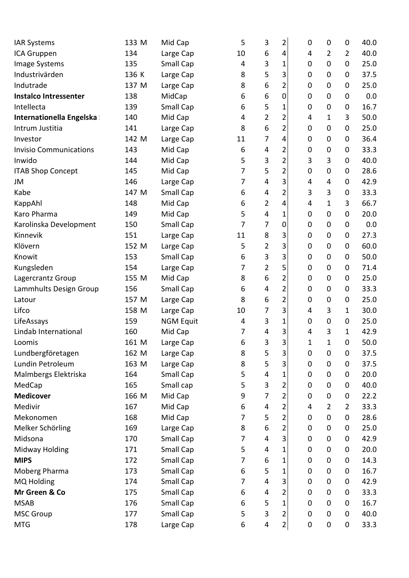| <b>IAR Systems</b>            | 133 M | Mid Cap          | 5  | 3                       | 2              | 0           | $\mathbf 0$    | $\mathbf 0$    | 40.0 |
|-------------------------------|-------|------------------|----|-------------------------|----------------|-------------|----------------|----------------|------|
| ICA Gruppen                   | 134   | Large Cap        | 10 | 6                       | 4              | 4           | $\overline{2}$ | $\overline{2}$ | 40.0 |
| Image Systems                 | 135   | Small Cap        | 4  | 3                       | 1              | 0           | 0              | 0              | 25.0 |
| Industrivärden                | 136 K | Large Cap        | 8  | 5                       | 3              | 0           | 0              | 0              | 37.5 |
| Indutrade                     | 137 M | Large Cap        | 8  | 6                       | 2              | 0           | 0              | 0              | 25.0 |
| <b>Instalco Intressenter</b>  | 138   | MidCap           | 6  | 6                       | 0              | 0           | 0              | $\mathbf 0$    | 0.0  |
| Intellecta                    | 139   | Small Cap        | 6  | 5                       | 1              | 0           | $\pmb{0}$      | $\pmb{0}$      | 16.7 |
| Internationella Engelska      | 140   | Mid Cap          | 4  | $\overline{2}$          | 2              | 4           | 1              | 3              | 50.0 |
| Intrum Justitia               | 141   | Large Cap        | 8  | 6                       | 2              | 0           | 0              | 0              | 25.0 |
| Investor                      | 142 M | Large Cap        | 11 | 7                       | 4              | 0           | 0              | 0              | 36.4 |
| <b>Invisio Communications</b> | 143   | Mid Cap          | 6  | 4                       | 2              | 0           | 0              | 0              | 33.3 |
| Inwido                        | 144   | Mid Cap          | 5  | 3                       | $\overline{2}$ | 3           | 3              | $\pmb{0}$      | 40.0 |
| <b>ITAB Shop Concept</b>      | 145   | Mid Cap          | 7  | 5                       | 2              | 0           | 0              | 0              | 28.6 |
| JM                            | 146   | Large Cap        | 7  | 4                       | 3              | 4           | 4              | 0              | 42.9 |
| Kabe                          | 147 M | Small Cap        | 6  | 4                       | 2              | 3           | 3              | $\mathbf 0$    | 33.3 |
| KappAhl                       | 148   | Mid Cap          | 6  | $\overline{2}$          | 4              | 4           | 1              | 3              | 66.7 |
| Karo Pharma                   | 149   | Mid Cap          | 5  | 4                       | 1              | 0           | $\pmb{0}$      | $\pmb{0}$      | 20.0 |
| Karolinska Development        | 150   | Small Cap        | 7  | 7                       | 0              | 0           | 0              | 0              | 0.0  |
| Kinnevik                      | 151   | Large Cap        | 11 | 8                       | 3              | 0           | 0              | 0              | 27.3 |
| Klövern                       | 152 M | Large Cap        | 5  | $\overline{\mathbf{c}}$ | 3              | 0           | 0              | 0              | 60.0 |
| Knowit                        | 153   | Small Cap        | 6  | 3                       | 3              | 0           | 0              | 0              | 50.0 |
| Kungsleden                    | 154   | Large Cap        | 7  | $\overline{2}$          | 5              | 0           | $\mathbf 0$    | 0              | 71.4 |
| Lagercrantz Group             | 155 M | Mid Cap          | 8  | 6                       | 2              | 0           | 0              | 0              | 25.0 |
| Lammhults Design Group        | 156   | Small Cap        | 6  | 4                       | $\overline{2}$ | 0           | 0              | 0              | 33.3 |
| Latour                        | 157 M | Large Cap        | 8  | 6                       | 2              | 0           | $\mathbf 0$    | $\mathbf 0$    | 25.0 |
| Lifco                         | 158 M | Large Cap        | 10 | 7                       | 3              | 4           | 3              | $\mathbf{1}$   | 30.0 |
| LifeAssays                    | 159   | <b>NGM Equit</b> | 4  | 3                       | 1              | 0           | $\mathbf 0$    | 0              | 25.0 |
| Lindab International          | 160   | Mid Cap          | 7  | 4                       | 3              | 4           | 3              | 1              | 42.9 |
| Loomis                        | 161 M | Large Cap        | 6  | 3                       | 3              | $\mathbf 1$ | 1              | $\mathbf 0$    | 50.0 |
| Lundbergföretagen             | 162 M | Large Cap        | 8  | 5                       | 3              | 0           | $\pmb{0}$      | $\pmb{0}$      | 37.5 |
| Lundin Petroleum              | 163 M | Large Cap        | 8  | 5                       | 3              | $\pmb{0}$   | 0              | $\mathbf 0$    | 37.5 |
| Malmbergs Elektriska          | 164   | Small Cap        | 5  | 4                       | 1              | $\pmb{0}$   | $\pmb{0}$      | 0              | 20.0 |
| MedCap                        | 165   | Small cap        | 5  | 3                       | 2              | $\pmb{0}$   | 0              | 0              | 40.0 |
| <b>Medicover</b>              | 166 M | Mid Cap          | 9  | 7                       | 2              | 0           | $\pmb{0}$      | 0              | 22.2 |
| Medivir                       | 167   | Mid Cap          | 6  | 4                       | 2              | 4           | $\overline{2}$ | $\overline{2}$ | 33.3 |
| Mekonomen                     | 168   | Mid Cap          | 7  | 5                       | 2              | 0           | 0              | 0              | 28.6 |
| Melker Schörling              | 169   | Large Cap        | 8  | 6                       | $\overline{2}$ | $\pmb{0}$   | $\pmb{0}$      | 0              | 25.0 |
| Midsona                       | 170   | Small Cap        | 7  | 4                       | 3              | 0           | 0              | 0              | 42.9 |
| Midway Holding                | 171   | Small Cap        | 5  | 4                       | 1              | 0           | 0              | 0              | 20.0 |
| <b>MIPS</b>                   | 172   | Small Cap        | 7  | $\boldsymbol{6}$        | 1              | 0           | $\pmb{0}$      | 0              | 14.3 |
| Moberg Pharma                 | 173   | Small Cap        | 6  | 5                       | 1              | 0           | 0              | 0              | 16.7 |
| MQ Holding                    | 174   | Small Cap        | 7  | 4                       | 3              | $\pmb{0}$   | 0              | $\pmb{0}$      | 42.9 |
| Mr Green & Co                 | 175   | Small Cap        | 6  | 4                       | 2              | 0           | 0              | 0              | 33.3 |
| <b>MSAB</b>                   | 176   | Small Cap        | 6  | 5                       | 1              | 0           | 0              | 0              | 16.7 |
| <b>MSC Group</b>              | 177   | Small Cap        | 5  | 3                       | 2              | $\pmb{0}$   | $\pmb{0}$      | $\pmb{0}$      | 40.0 |
| <b>MTG</b>                    | 178   | Large Cap        | 6  | 4                       | $\overline{2}$ | $\pmb{0}$   | $\pmb{0}$      | 0              | 33.3 |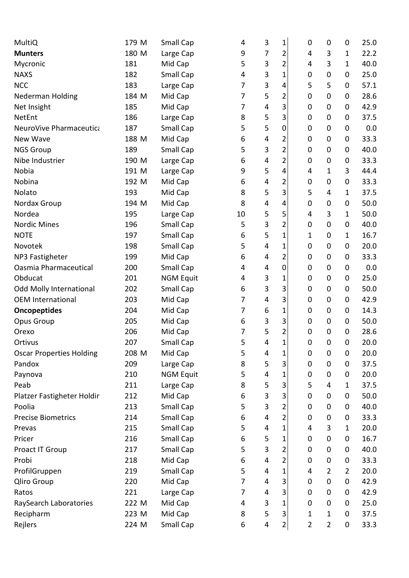| MultiQ                          | 179 M | Small Cap        | 4  | $\mathbf{3}$              | 1              | 0              | $\mathbf 0$    | 0              | 25.0 |
|---------------------------------|-------|------------------|----|---------------------------|----------------|----------------|----------------|----------------|------|
| <b>Munters</b>                  | 180 M | Large Cap        | 9  | 7                         | 2              | 4              | 3              | 1              | 22.2 |
| Mycronic                        | 181   | Mid Cap          | 5  | 3                         | $\overline{2}$ | 4              | 3              | $\mathbf{1}$   | 40.0 |
| <b>NAXS</b>                     | 182   | Small Cap        | 4  | $\mathsf 3$               | 1              | 0              | 0              | 0              | 25.0 |
| <b>NCC</b>                      | 183   | Large Cap        | 7  | 3                         | 4              | 5              | 5              | 0              | 57.1 |
| Nederman Holding                | 184 M | Mid Cap          | 7  | 5                         | 2              | 0              | 0              | 0              | 28.6 |
| Net Insight                     | 185   | Mid Cap          | 7  | 4                         | 3              | $\pmb{0}$      | $\mathbf 0$    | 0              | 42.9 |
| NetEnt                          | 186   | Large Cap        | 8  | 5                         | 3              | 0              | 0              | 0              | 37.5 |
| NeuroVive Pharmaceutica         | 187   | Small Cap        | 5  | 5                         | $\mathbf 0$    | 0              | 0              | $\mathbf 0$    | 0.0  |
| New Wave                        | 188 M | Mid Cap          | 6  | 4                         | 2              | $\pmb{0}$      | 0              | 0              | 33.3 |
| <b>NGS Group</b>                | 189   | Small Cap        | 5  | 3                         | 2              | 0              | 0              | 0              | 40.0 |
| Nibe Industrier                 | 190 M | Large Cap        | 6  | 4                         | $\overline{2}$ | $\pmb{0}$      | $\pmb{0}$      | $\mathbf 0$    | 33.3 |
| Nobia                           | 191 M | Large Cap        | 9  | 5                         | 4              | 4              | $\mathbf 1$    | 3              | 44.4 |
| Nobina                          | 192 M | Mid Cap          | 6  | 4                         | 2              | 0              | 0              | 0              | 33.3 |
| Nolato                          | 193   | Mid Cap          | 8  | 5                         | 3              | 5              | 4              | $\mathbf{1}$   | 37.5 |
| Nordax Group                    | 194 M | Mid Cap          | 8  | 4                         | 4              | 0              | $\mathbf 0$    | 0              | 50.0 |
| Nordea                          | 195   | Large Cap        | 10 | 5                         | 5              | 4              | 3              | $\mathbf{1}$   | 50.0 |
| <b>Nordic Mines</b>             | 196   | Small Cap        | 5  | $\ensuremath{\mathsf{3}}$ | 2              | 0              | 0              | 0              | 40.0 |
| <b>NOTE</b>                     | 197   | Small Cap        | 6  | 5                         | $\mathbf 1$    | 1              | 0              | 1              | 16.7 |
| Novotek                         | 198   | Small Cap        | 5  | 4                         | 1              | 0              | 0              | 0              | 20.0 |
| NP3 Fastigheter                 | 199   | Mid Cap          | 6  | 4                         | 2              | 0              | 0              | $\mathbf 0$    | 33.3 |
| Oasmia Pharmaceutical           | 200   | Small Cap        | 4  | 4                         | $\mathbf 0$    | $\mathbf 0$    | $\mathbf 0$    | $\mathbf 0$    | 0.0  |
| Obducat                         | 201   | <b>NGM Equit</b> | 4  | $\ensuremath{\mathsf{3}}$ | 1              | 0              | 0              | 0              | 25.0 |
| <b>Odd Molly International</b>  | 202   | Small Cap        | 6  | 3                         | 3              | 0              | 0              | 0              | 50.0 |
| <b>OEM International</b>        | 203   | Mid Cap          | 7  | 4                         | 3              | 0              | 0              | $\mathbf 0$    | 42.9 |
| <b>Oncopeptides</b>             | 204   | Mid Cap          | 7  | 6                         | 1              | 0              | 0              | 0              | 14.3 |
| Opus Group                      | 205   | Mid Cap          | 6  | 3                         | 3              | $\pmb{0}$      | $\mathbf 0$    | 0              | 50.0 |
| Orexo                           | 206   | Mid Cap          | 7  | 5                         | $\overline{2}$ | $\mathbf 0$    | $\mathbf 0$    | $\mathbf 0$    | 28.6 |
| Ortivus                         | 207   | Small Cap        | 5  | $\overline{4}$            | 1              | 0              | $\mathbf 0$    | $\mathbf 0$    | 20.0 |
| <b>Oscar Properties Holding</b> | 208 M | Mid Cap          | 5  | 4                         | 1              | 0              | $\pmb{0}$      | 0              | 20.0 |
| Pandox                          | 209   | Large Cap        | 8  | 5                         | 3              | $\pmb{0}$      | 0              | $\mathbf 0$    | 37.5 |
| Paynova                         | 210   | <b>NGM Equit</b> | 5  | 4                         | 1              | $\pmb{0}$      | 0              | 0              | 20.0 |
| Peab                            | 211   | Large Cap        | 8  | 5                         | 3              | 5              | 4              | $\mathbf{1}$   | 37.5 |
| Platzer Fastigheter Holdir      | 212   | Mid Cap          | 6  | $\mathsf 3$               | 3              | 0              | 0              | 0              | 50.0 |
| Poolia                          | 213   | Small Cap        | 5  | 3                         | 2              | $\pmb{0}$      | 0              | 0              | 40.0 |
| <b>Precise Biometrics</b>       | 214   | Small Cap        | 6  | 4                         | 2              | 0              | 0              | 0              | 33.3 |
| Prevas                          | 215   | Small Cap        | 5  | 4                         | 1              | 4              | 3              | $\mathbf{1}$   | 20.0 |
| Pricer                          | 216   | Small Cap        | 6  | 5                         | 1              | 0              | 0              | 0              | 16.7 |
| Proact IT Group                 | 217   | Small Cap        | 5  | $\mathsf 3$               | 2              | 0              | 0              | 0              | 40.0 |
| Probi                           | 218   | Mid Cap          | 6  | 4                         | 2              | 0              | 0              | 0              | 33.3 |
| ProfilGruppen                   | 219   | Small Cap        | 5  | 4                         | 1              | 4              | $\overline{2}$ | $\overline{2}$ | 20.0 |
| Qliro Group                     | 220   | Mid Cap          | 7  | 4                         | 3              | $\pmb{0}$      | $\pmb{0}$      | $\pmb{0}$      | 42.9 |
| Ratos                           | 221   | Large Cap        | 7  | 4                         | 3              | 0              | 0              | 0              | 42.9 |
| RaySearch Laboratories          | 222 M | Mid Cap          | 4  | $\mathsf 3$               | 1              | $\pmb{0}$      | 0              | 0              | 25.0 |
| Recipharm                       | 223 M | Mid Cap          | 8  | 5                         | 3              | 1              | $\mathbf{1}$   | $\pmb{0}$      | 37.5 |
| Rejlers                         | 224 M | Small Cap        | 6  | 4                         | $\overline{2}$ | $\overline{2}$ | $\overline{2}$ | $\pmb{0}$      | 33.3 |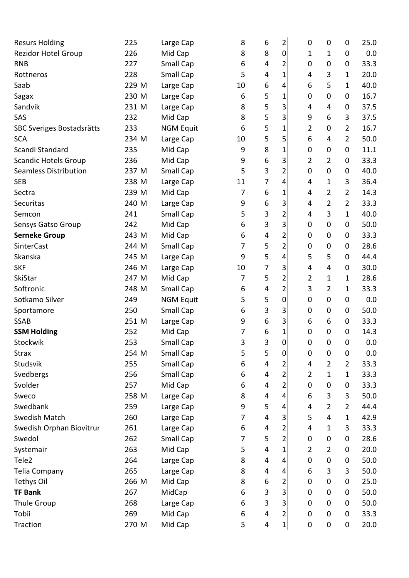| <b>Rezidor Hotel Group</b><br>226<br>8<br>8<br>$\pmb{0}$<br>Mid Cap<br>1<br>0<br>1<br>Small Cap<br>2<br><b>RNB</b><br>227<br>$\pmb{0}$<br>0<br>6<br>4<br>0<br>Small Cap<br>5<br>$\mathbf 1$<br>3<br>228<br>4<br>Rottneros<br>4<br>1<br>Saab<br>6<br>229 M<br>Large Cap<br>10<br>4<br>6<br>5<br>1<br>5<br>230 M<br>Large Cap<br>6<br>1<br>$\mathbf 0$<br>0<br>Sagax<br>0<br>5<br>3<br>Sandvik<br>8<br>231 M<br>0<br>Large Cap<br>4<br>4<br>5<br>3<br>SAS<br>232<br>Mid Cap<br>8<br>9<br>6<br>3<br>5<br>$\mathbf 1$<br>$\overline{2}$<br>$\overline{2}$<br>SBC Sveriges Bostadsrätts<br>233<br><b>NGM Equit</b><br>6<br>$\mathbf 0$<br>5<br>5<br>6<br>$\overline{2}$<br><b>SCA</b><br>234 M<br>Large Cap<br>10<br>4<br>8<br>Scandi Standard<br>235<br>Mid Cap<br>1<br>$\mathbf 0$<br>0<br>9<br>0<br>3<br>6<br><b>Scandic Hotels Group</b><br>Mid Cap<br>9<br>$\overline{2}$<br>$\overline{2}$<br>236<br>0<br>3<br>$\overline{2}$<br><b>Seamless Distribution</b><br>Small Cap<br>5<br>237 M<br>0<br>0<br>0<br>7<br>3<br>238 M<br>4<br><b>SEB</b><br>Large Cap<br>11<br>4<br>1<br>6<br>7<br>$\mathbf 1$<br>2<br>$\overline{2}$<br>239 M<br>Mid Cap<br>Sectra<br>4<br>3<br>6<br>2<br>$\overline{2}$<br>Securitas<br>240 M<br>Large Cap<br>9<br>4<br>$\ensuremath{\mathsf{3}}$<br>$\overline{2}$<br>5<br>3<br>241<br>Small Cap<br>$\mathbf{1}$<br>4<br>Semcon<br>3<br>3<br>Mid Cap<br>Sensys Gatso Group<br>242<br>6<br>$\mathbf 0$<br>0<br>0<br>2<br><b>Serneke Group</b><br>243 M<br>Mid Cap<br>6<br>4<br>$\mathbf 0$<br>0<br>0<br>2<br>SinterCast<br>Small Cap<br>5<br>244 M<br>7<br>0<br>$\pmb{0}$<br>0<br>5<br>4<br>5<br>Skanska<br>245 M<br>Large Cap<br>9<br>5<br>0<br>3<br>7<br><b>SKF</b><br>246 M<br>10<br>4<br>$\overline{4}$<br>0<br>Large Cap<br>5<br>2<br>SkiStar<br>247 M<br>Mid Cap<br>7<br>$\overline{2}$<br>1<br>$\mathbf{1}$<br>$\overline{\mathbf{c}}$<br>Softronic<br>Small Cap<br>3<br>$\overline{2}$<br>248 M<br>4<br>6<br>1<br>5<br>$\mathbf 0$<br>Sotkamo Silver<br>5<br>249<br><b>NGM Equit</b><br>0<br>$\pmb{0}$<br>0<br>3<br>Small Cap<br>3<br>6<br>$\mathbf 0$<br>0<br>250<br>0<br>Sportamore<br>6<br>3<br>6<br>6<br><b>SSAB</b><br>9<br>0<br>251 M<br>Large Cap<br><b>SSM Holding</b><br>252<br>Mid Cap<br>6<br>1<br>$\mathbf 0$<br>0<br>7<br>0<br>3<br>$\overline{0}$<br>253<br>Small Cap<br>3<br>Stockwik<br>0<br>0<br>0<br>5<br>5<br>$\pmb{0}$<br><b>Strax</b><br>254 M<br>Small Cap<br>$\pmb{0}$<br>$\boldsymbol{0}$<br>$\boldsymbol{0}$<br>Studsvik<br>255<br>Small Cap<br>6<br>4<br>$\overline{2}$<br>$\overline{2}$<br>2<br>4<br>$\overline{2}$<br>Svedbergs<br>Small Cap<br>$\overline{2}$<br>256<br>6<br>1<br>$\mathbf{1}$<br>4<br>$\overline{\mathbf{c}}$<br>Svolder<br>257<br>Mid Cap<br>4<br>0<br>$\pmb{0}$<br>0<br>6<br>3<br>3<br>8<br>6<br>258 M<br>Large Cap<br>4<br>4<br>Sweco<br>5<br>Swedbank<br>259<br>9<br>$\overline{2}$<br>$\overline{2}$<br>Large Cap<br>4<br>4<br><b>Swedish Match</b><br>$\mathbf{1}$<br>260<br>Large Cap<br>4<br>3<br>5<br>4<br>7<br>3<br>Swedish Orphan Biovitrur<br>4<br>2<br>261<br>Large Cap<br>6<br>4<br>1<br>Swedol<br>262<br>Small Cap<br>5<br>2<br>$\pmb{0}$<br>0<br>7<br>0<br>4<br>$\mathbf 1$<br>263<br>Mid Cap<br>5<br>2<br>$\overline{2}$<br>Systemair<br>0<br>Tele2<br>264<br>8<br>$\pmb{0}$<br>Large Cap<br>4<br>4<br>$\pmb{0}$<br>0<br>265<br>8<br>6<br>$\mathbf{3}$<br>3<br>Telia Company<br>Large Cap<br>4<br>4<br><b>Tethys Oil</b><br>8<br>6<br>266 M<br>Mid Cap<br>2<br>0<br>$\mathbf 0$<br>0<br>3<br><b>TF Bank</b><br>267<br>MidCap<br>3<br>6<br>0<br>$\mathbf 0$<br>0<br>3<br>3<br><b>Thule Group</b><br>268<br>Large Cap<br>6<br>0<br>$\mathbf 0$<br>0 | <b>Resurs Holding</b> | 225 | Large Cap | 8 | 6 | 2 | 0 | $\mathbf 0$ | 0 | 25.0   |
|---------------------------------------------------------------------------------------------------------------------------------------------------------------------------------------------------------------------------------------------------------------------------------------------------------------------------------------------------------------------------------------------------------------------------------------------------------------------------------------------------------------------------------------------------------------------------------------------------------------------------------------------------------------------------------------------------------------------------------------------------------------------------------------------------------------------------------------------------------------------------------------------------------------------------------------------------------------------------------------------------------------------------------------------------------------------------------------------------------------------------------------------------------------------------------------------------------------------------------------------------------------------------------------------------------------------------------------------------------------------------------------------------------------------------------------------------------------------------------------------------------------------------------------------------------------------------------------------------------------------------------------------------------------------------------------------------------------------------------------------------------------------------------------------------------------------------------------------------------------------------------------------------------------------------------------------------------------------------------------------------------------------------------------------------------------------------------------------------------------------------------------------------------------------------------------------------------------------------------------------------------------------------------------------------------------------------------------------------------------------------------------------------------------------------------------------------------------------------------------------------------------------------------------------------------------------------------------------------------------------------------------------------------------------------------------------------------------------------------------------------------------------------------------------------------------------------------------------------------------------------------------------------------------------------------------------------------------------------------------------------------------------------------------------------------------------------------------------------------------------------------------------------------------------------------------------------------------------------------------------------------------------------------------------------------------------------------------------------------------------------------------------------------------------------------------------------------------------------------------------------------------------------------------------------------------------------------------------------------------------------------------------------|-----------------------|-----|-----------|---|---|---|---|-------------|---|--------|
|                                                                                                                                                                                                                                                                                                                                                                                                                                                                                                                                                                                                                                                                                                                                                                                                                                                                                                                                                                                                                                                                                                                                                                                                                                                                                                                                                                                                                                                                                                                                                                                                                                                                                                                                                                                                                                                                                                                                                                                                                                                                                                                                                                                                                                                                                                                                                                                                                                                                                                                                                                                                                                                                                                                                                                                                                                                                                                                                                                                                                                                                                                                                                                                                                                                                                                                                                                                                                                                                                                                                                                                                                                                   |                       |     |           |   |   |   |   |             |   | 0.0    |
|                                                                                                                                                                                                                                                                                                                                                                                                                                                                                                                                                                                                                                                                                                                                                                                                                                                                                                                                                                                                                                                                                                                                                                                                                                                                                                                                                                                                                                                                                                                                                                                                                                                                                                                                                                                                                                                                                                                                                                                                                                                                                                                                                                                                                                                                                                                                                                                                                                                                                                                                                                                                                                                                                                                                                                                                                                                                                                                                                                                                                                                                                                                                                                                                                                                                                                                                                                                                                                                                                                                                                                                                                                                   |                       |     |           |   |   |   |   |             |   | 33.3   |
|                                                                                                                                                                                                                                                                                                                                                                                                                                                                                                                                                                                                                                                                                                                                                                                                                                                                                                                                                                                                                                                                                                                                                                                                                                                                                                                                                                                                                                                                                                                                                                                                                                                                                                                                                                                                                                                                                                                                                                                                                                                                                                                                                                                                                                                                                                                                                                                                                                                                                                                                                                                                                                                                                                                                                                                                                                                                                                                                                                                                                                                                                                                                                                                                                                                                                                                                                                                                                                                                                                                                                                                                                                                   |                       |     |           |   |   |   |   |             |   | 20.0   |
|                                                                                                                                                                                                                                                                                                                                                                                                                                                                                                                                                                                                                                                                                                                                                                                                                                                                                                                                                                                                                                                                                                                                                                                                                                                                                                                                                                                                                                                                                                                                                                                                                                                                                                                                                                                                                                                                                                                                                                                                                                                                                                                                                                                                                                                                                                                                                                                                                                                                                                                                                                                                                                                                                                                                                                                                                                                                                                                                                                                                                                                                                                                                                                                                                                                                                                                                                                                                                                                                                                                                                                                                                                                   |                       |     |           |   |   |   |   |             |   | 40.0   |
|                                                                                                                                                                                                                                                                                                                                                                                                                                                                                                                                                                                                                                                                                                                                                                                                                                                                                                                                                                                                                                                                                                                                                                                                                                                                                                                                                                                                                                                                                                                                                                                                                                                                                                                                                                                                                                                                                                                                                                                                                                                                                                                                                                                                                                                                                                                                                                                                                                                                                                                                                                                                                                                                                                                                                                                                                                                                                                                                                                                                                                                                                                                                                                                                                                                                                                                                                                                                                                                                                                                                                                                                                                                   |                       |     |           |   |   |   |   |             |   | 16.7   |
|                                                                                                                                                                                                                                                                                                                                                                                                                                                                                                                                                                                                                                                                                                                                                                                                                                                                                                                                                                                                                                                                                                                                                                                                                                                                                                                                                                                                                                                                                                                                                                                                                                                                                                                                                                                                                                                                                                                                                                                                                                                                                                                                                                                                                                                                                                                                                                                                                                                                                                                                                                                                                                                                                                                                                                                                                                                                                                                                                                                                                                                                                                                                                                                                                                                                                                                                                                                                                                                                                                                                                                                                                                                   |                       |     |           |   |   |   |   |             |   | 37.5   |
|                                                                                                                                                                                                                                                                                                                                                                                                                                                                                                                                                                                                                                                                                                                                                                                                                                                                                                                                                                                                                                                                                                                                                                                                                                                                                                                                                                                                                                                                                                                                                                                                                                                                                                                                                                                                                                                                                                                                                                                                                                                                                                                                                                                                                                                                                                                                                                                                                                                                                                                                                                                                                                                                                                                                                                                                                                                                                                                                                                                                                                                                                                                                                                                                                                                                                                                                                                                                                                                                                                                                                                                                                                                   |                       |     |           |   |   |   |   |             |   | 37.5   |
|                                                                                                                                                                                                                                                                                                                                                                                                                                                                                                                                                                                                                                                                                                                                                                                                                                                                                                                                                                                                                                                                                                                                                                                                                                                                                                                                                                                                                                                                                                                                                                                                                                                                                                                                                                                                                                                                                                                                                                                                                                                                                                                                                                                                                                                                                                                                                                                                                                                                                                                                                                                                                                                                                                                                                                                                                                                                                                                                                                                                                                                                                                                                                                                                                                                                                                                                                                                                                                                                                                                                                                                                                                                   |                       |     |           |   |   |   |   |             |   | 16.7   |
|                                                                                                                                                                                                                                                                                                                                                                                                                                                                                                                                                                                                                                                                                                                                                                                                                                                                                                                                                                                                                                                                                                                                                                                                                                                                                                                                                                                                                                                                                                                                                                                                                                                                                                                                                                                                                                                                                                                                                                                                                                                                                                                                                                                                                                                                                                                                                                                                                                                                                                                                                                                                                                                                                                                                                                                                                                                                                                                                                                                                                                                                                                                                                                                                                                                                                                                                                                                                                                                                                                                                                                                                                                                   |                       |     |           |   |   |   |   |             |   | 50.0   |
|                                                                                                                                                                                                                                                                                                                                                                                                                                                                                                                                                                                                                                                                                                                                                                                                                                                                                                                                                                                                                                                                                                                                                                                                                                                                                                                                                                                                                                                                                                                                                                                                                                                                                                                                                                                                                                                                                                                                                                                                                                                                                                                                                                                                                                                                                                                                                                                                                                                                                                                                                                                                                                                                                                                                                                                                                                                                                                                                                                                                                                                                                                                                                                                                                                                                                                                                                                                                                                                                                                                                                                                                                                                   |                       |     |           |   |   |   |   |             |   | 11.1   |
|                                                                                                                                                                                                                                                                                                                                                                                                                                                                                                                                                                                                                                                                                                                                                                                                                                                                                                                                                                                                                                                                                                                                                                                                                                                                                                                                                                                                                                                                                                                                                                                                                                                                                                                                                                                                                                                                                                                                                                                                                                                                                                                                                                                                                                                                                                                                                                                                                                                                                                                                                                                                                                                                                                                                                                                                                                                                                                                                                                                                                                                                                                                                                                                                                                                                                                                                                                                                                                                                                                                                                                                                                                                   |                       |     |           |   |   |   |   |             |   | 33.3   |
|                                                                                                                                                                                                                                                                                                                                                                                                                                                                                                                                                                                                                                                                                                                                                                                                                                                                                                                                                                                                                                                                                                                                                                                                                                                                                                                                                                                                                                                                                                                                                                                                                                                                                                                                                                                                                                                                                                                                                                                                                                                                                                                                                                                                                                                                                                                                                                                                                                                                                                                                                                                                                                                                                                                                                                                                                                                                                                                                                                                                                                                                                                                                                                                                                                                                                                                                                                                                                                                                                                                                                                                                                                                   |                       |     |           |   |   |   |   |             |   | 40.0   |
|                                                                                                                                                                                                                                                                                                                                                                                                                                                                                                                                                                                                                                                                                                                                                                                                                                                                                                                                                                                                                                                                                                                                                                                                                                                                                                                                                                                                                                                                                                                                                                                                                                                                                                                                                                                                                                                                                                                                                                                                                                                                                                                                                                                                                                                                                                                                                                                                                                                                                                                                                                                                                                                                                                                                                                                                                                                                                                                                                                                                                                                                                                                                                                                                                                                                                                                                                                                                                                                                                                                                                                                                                                                   |                       |     |           |   |   |   |   |             |   | 36.4   |
|                                                                                                                                                                                                                                                                                                                                                                                                                                                                                                                                                                                                                                                                                                                                                                                                                                                                                                                                                                                                                                                                                                                                                                                                                                                                                                                                                                                                                                                                                                                                                                                                                                                                                                                                                                                                                                                                                                                                                                                                                                                                                                                                                                                                                                                                                                                                                                                                                                                                                                                                                                                                                                                                                                                                                                                                                                                                                                                                                                                                                                                                                                                                                                                                                                                                                                                                                                                                                                                                                                                                                                                                                                                   |                       |     |           |   |   |   |   |             |   | 14.3   |
|                                                                                                                                                                                                                                                                                                                                                                                                                                                                                                                                                                                                                                                                                                                                                                                                                                                                                                                                                                                                                                                                                                                                                                                                                                                                                                                                                                                                                                                                                                                                                                                                                                                                                                                                                                                                                                                                                                                                                                                                                                                                                                                                                                                                                                                                                                                                                                                                                                                                                                                                                                                                                                                                                                                                                                                                                                                                                                                                                                                                                                                                                                                                                                                                                                                                                                                                                                                                                                                                                                                                                                                                                                                   |                       |     |           |   |   |   |   |             |   | 33.3   |
|                                                                                                                                                                                                                                                                                                                                                                                                                                                                                                                                                                                                                                                                                                                                                                                                                                                                                                                                                                                                                                                                                                                                                                                                                                                                                                                                                                                                                                                                                                                                                                                                                                                                                                                                                                                                                                                                                                                                                                                                                                                                                                                                                                                                                                                                                                                                                                                                                                                                                                                                                                                                                                                                                                                                                                                                                                                                                                                                                                                                                                                                                                                                                                                                                                                                                                                                                                                                                                                                                                                                                                                                                                                   |                       |     |           |   |   |   |   |             |   | 40.0   |
|                                                                                                                                                                                                                                                                                                                                                                                                                                                                                                                                                                                                                                                                                                                                                                                                                                                                                                                                                                                                                                                                                                                                                                                                                                                                                                                                                                                                                                                                                                                                                                                                                                                                                                                                                                                                                                                                                                                                                                                                                                                                                                                                                                                                                                                                                                                                                                                                                                                                                                                                                                                                                                                                                                                                                                                                                                                                                                                                                                                                                                                                                                                                                                                                                                                                                                                                                                                                                                                                                                                                                                                                                                                   |                       |     |           |   |   |   |   |             |   | 50.0   |
|                                                                                                                                                                                                                                                                                                                                                                                                                                                                                                                                                                                                                                                                                                                                                                                                                                                                                                                                                                                                                                                                                                                                                                                                                                                                                                                                                                                                                                                                                                                                                                                                                                                                                                                                                                                                                                                                                                                                                                                                                                                                                                                                                                                                                                                                                                                                                                                                                                                                                                                                                                                                                                                                                                                                                                                                                                                                                                                                                                                                                                                                                                                                                                                                                                                                                                                                                                                                                                                                                                                                                                                                                                                   |                       |     |           |   |   |   |   |             |   | 33.3   |
|                                                                                                                                                                                                                                                                                                                                                                                                                                                                                                                                                                                                                                                                                                                                                                                                                                                                                                                                                                                                                                                                                                                                                                                                                                                                                                                                                                                                                                                                                                                                                                                                                                                                                                                                                                                                                                                                                                                                                                                                                                                                                                                                                                                                                                                                                                                                                                                                                                                                                                                                                                                                                                                                                                                                                                                                                                                                                                                                                                                                                                                                                                                                                                                                                                                                                                                                                                                                                                                                                                                                                                                                                                                   |                       |     |           |   |   |   |   |             |   | 28.6   |
|                                                                                                                                                                                                                                                                                                                                                                                                                                                                                                                                                                                                                                                                                                                                                                                                                                                                                                                                                                                                                                                                                                                                                                                                                                                                                                                                                                                                                                                                                                                                                                                                                                                                                                                                                                                                                                                                                                                                                                                                                                                                                                                                                                                                                                                                                                                                                                                                                                                                                                                                                                                                                                                                                                                                                                                                                                                                                                                                                                                                                                                                                                                                                                                                                                                                                                                                                                                                                                                                                                                                                                                                                                                   |                       |     |           |   |   |   |   |             |   | 44.4   |
|                                                                                                                                                                                                                                                                                                                                                                                                                                                                                                                                                                                                                                                                                                                                                                                                                                                                                                                                                                                                                                                                                                                                                                                                                                                                                                                                                                                                                                                                                                                                                                                                                                                                                                                                                                                                                                                                                                                                                                                                                                                                                                                                                                                                                                                                                                                                                                                                                                                                                                                                                                                                                                                                                                                                                                                                                                                                                                                                                                                                                                                                                                                                                                                                                                                                                                                                                                                                                                                                                                                                                                                                                                                   |                       |     |           |   |   |   |   |             |   | 30.0   |
|                                                                                                                                                                                                                                                                                                                                                                                                                                                                                                                                                                                                                                                                                                                                                                                                                                                                                                                                                                                                                                                                                                                                                                                                                                                                                                                                                                                                                                                                                                                                                                                                                                                                                                                                                                                                                                                                                                                                                                                                                                                                                                                                                                                                                                                                                                                                                                                                                                                                                                                                                                                                                                                                                                                                                                                                                                                                                                                                                                                                                                                                                                                                                                                                                                                                                                                                                                                                                                                                                                                                                                                                                                                   |                       |     |           |   |   |   |   |             |   | 28.6   |
|                                                                                                                                                                                                                                                                                                                                                                                                                                                                                                                                                                                                                                                                                                                                                                                                                                                                                                                                                                                                                                                                                                                                                                                                                                                                                                                                                                                                                                                                                                                                                                                                                                                                                                                                                                                                                                                                                                                                                                                                                                                                                                                                                                                                                                                                                                                                                                                                                                                                                                                                                                                                                                                                                                                                                                                                                                                                                                                                                                                                                                                                                                                                                                                                                                                                                                                                                                                                                                                                                                                                                                                                                                                   |                       |     |           |   |   |   |   |             |   | 33.3   |
|                                                                                                                                                                                                                                                                                                                                                                                                                                                                                                                                                                                                                                                                                                                                                                                                                                                                                                                                                                                                                                                                                                                                                                                                                                                                                                                                                                                                                                                                                                                                                                                                                                                                                                                                                                                                                                                                                                                                                                                                                                                                                                                                                                                                                                                                                                                                                                                                                                                                                                                                                                                                                                                                                                                                                                                                                                                                                                                                                                                                                                                                                                                                                                                                                                                                                                                                                                                                                                                                                                                                                                                                                                                   |                       |     |           |   |   |   |   |             |   | 0.0    |
|                                                                                                                                                                                                                                                                                                                                                                                                                                                                                                                                                                                                                                                                                                                                                                                                                                                                                                                                                                                                                                                                                                                                                                                                                                                                                                                                                                                                                                                                                                                                                                                                                                                                                                                                                                                                                                                                                                                                                                                                                                                                                                                                                                                                                                                                                                                                                                                                                                                                                                                                                                                                                                                                                                                                                                                                                                                                                                                                                                                                                                                                                                                                                                                                                                                                                                                                                                                                                                                                                                                                                                                                                                                   |                       |     |           |   |   |   |   |             |   | 50.0   |
|                                                                                                                                                                                                                                                                                                                                                                                                                                                                                                                                                                                                                                                                                                                                                                                                                                                                                                                                                                                                                                                                                                                                                                                                                                                                                                                                                                                                                                                                                                                                                                                                                                                                                                                                                                                                                                                                                                                                                                                                                                                                                                                                                                                                                                                                                                                                                                                                                                                                                                                                                                                                                                                                                                                                                                                                                                                                                                                                                                                                                                                                                                                                                                                                                                                                                                                                                                                                                                                                                                                                                                                                                                                   |                       |     |           |   |   |   |   |             |   | 33.3   |
|                                                                                                                                                                                                                                                                                                                                                                                                                                                                                                                                                                                                                                                                                                                                                                                                                                                                                                                                                                                                                                                                                                                                                                                                                                                                                                                                                                                                                                                                                                                                                                                                                                                                                                                                                                                                                                                                                                                                                                                                                                                                                                                                                                                                                                                                                                                                                                                                                                                                                                                                                                                                                                                                                                                                                                                                                                                                                                                                                                                                                                                                                                                                                                                                                                                                                                                                                                                                                                                                                                                                                                                                                                                   |                       |     |           |   |   |   |   |             |   | 14.3   |
|                                                                                                                                                                                                                                                                                                                                                                                                                                                                                                                                                                                                                                                                                                                                                                                                                                                                                                                                                                                                                                                                                                                                                                                                                                                                                                                                                                                                                                                                                                                                                                                                                                                                                                                                                                                                                                                                                                                                                                                                                                                                                                                                                                                                                                                                                                                                                                                                                                                                                                                                                                                                                                                                                                                                                                                                                                                                                                                                                                                                                                                                                                                                                                                                                                                                                                                                                                                                                                                                                                                                                                                                                                                   |                       |     |           |   |   |   |   |             |   | 0.0    |
|                                                                                                                                                                                                                                                                                                                                                                                                                                                                                                                                                                                                                                                                                                                                                                                                                                                                                                                                                                                                                                                                                                                                                                                                                                                                                                                                                                                                                                                                                                                                                                                                                                                                                                                                                                                                                                                                                                                                                                                                                                                                                                                                                                                                                                                                                                                                                                                                                                                                                                                                                                                                                                                                                                                                                                                                                                                                                                                                                                                                                                                                                                                                                                                                                                                                                                                                                                                                                                                                                                                                                                                                                                                   |                       |     |           |   |   |   |   |             |   | 0.0    |
|                                                                                                                                                                                                                                                                                                                                                                                                                                                                                                                                                                                                                                                                                                                                                                                                                                                                                                                                                                                                                                                                                                                                                                                                                                                                                                                                                                                                                                                                                                                                                                                                                                                                                                                                                                                                                                                                                                                                                                                                                                                                                                                                                                                                                                                                                                                                                                                                                                                                                                                                                                                                                                                                                                                                                                                                                                                                                                                                                                                                                                                                                                                                                                                                                                                                                                                                                                                                                                                                                                                                                                                                                                                   |                       |     |           |   |   |   |   |             |   | 33.3   |
|                                                                                                                                                                                                                                                                                                                                                                                                                                                                                                                                                                                                                                                                                                                                                                                                                                                                                                                                                                                                                                                                                                                                                                                                                                                                                                                                                                                                                                                                                                                                                                                                                                                                                                                                                                                                                                                                                                                                                                                                                                                                                                                                                                                                                                                                                                                                                                                                                                                                                                                                                                                                                                                                                                                                                                                                                                                                                                                                                                                                                                                                                                                                                                                                                                                                                                                                                                                                                                                                                                                                                                                                                                                   |                       |     |           |   |   |   |   |             |   | 33.3   |
|                                                                                                                                                                                                                                                                                                                                                                                                                                                                                                                                                                                                                                                                                                                                                                                                                                                                                                                                                                                                                                                                                                                                                                                                                                                                                                                                                                                                                                                                                                                                                                                                                                                                                                                                                                                                                                                                                                                                                                                                                                                                                                                                                                                                                                                                                                                                                                                                                                                                                                                                                                                                                                                                                                                                                                                                                                                                                                                                                                                                                                                                                                                                                                                                                                                                                                                                                                                                                                                                                                                                                                                                                                                   |                       |     |           |   |   |   |   |             |   | 33.3   |
|                                                                                                                                                                                                                                                                                                                                                                                                                                                                                                                                                                                                                                                                                                                                                                                                                                                                                                                                                                                                                                                                                                                                                                                                                                                                                                                                                                                                                                                                                                                                                                                                                                                                                                                                                                                                                                                                                                                                                                                                                                                                                                                                                                                                                                                                                                                                                                                                                                                                                                                                                                                                                                                                                                                                                                                                                                                                                                                                                                                                                                                                                                                                                                                                                                                                                                                                                                                                                                                                                                                                                                                                                                                   |                       |     |           |   |   |   |   |             |   | 50.0   |
|                                                                                                                                                                                                                                                                                                                                                                                                                                                                                                                                                                                                                                                                                                                                                                                                                                                                                                                                                                                                                                                                                                                                                                                                                                                                                                                                                                                                                                                                                                                                                                                                                                                                                                                                                                                                                                                                                                                                                                                                                                                                                                                                                                                                                                                                                                                                                                                                                                                                                                                                                                                                                                                                                                                                                                                                                                                                                                                                                                                                                                                                                                                                                                                                                                                                                                                                                                                                                                                                                                                                                                                                                                                   |                       |     |           |   |   |   |   |             |   | 44.4   |
|                                                                                                                                                                                                                                                                                                                                                                                                                                                                                                                                                                                                                                                                                                                                                                                                                                                                                                                                                                                                                                                                                                                                                                                                                                                                                                                                                                                                                                                                                                                                                                                                                                                                                                                                                                                                                                                                                                                                                                                                                                                                                                                                                                                                                                                                                                                                                                                                                                                                                                                                                                                                                                                                                                                                                                                                                                                                                                                                                                                                                                                                                                                                                                                                                                                                                                                                                                                                                                                                                                                                                                                                                                                   |                       |     |           |   |   |   |   |             |   | 42.9   |
|                                                                                                                                                                                                                                                                                                                                                                                                                                                                                                                                                                                                                                                                                                                                                                                                                                                                                                                                                                                                                                                                                                                                                                                                                                                                                                                                                                                                                                                                                                                                                                                                                                                                                                                                                                                                                                                                                                                                                                                                                                                                                                                                                                                                                                                                                                                                                                                                                                                                                                                                                                                                                                                                                                                                                                                                                                                                                                                                                                                                                                                                                                                                                                                                                                                                                                                                                                                                                                                                                                                                                                                                                                                   |                       |     |           |   |   |   |   |             |   | 33.3   |
|                                                                                                                                                                                                                                                                                                                                                                                                                                                                                                                                                                                                                                                                                                                                                                                                                                                                                                                                                                                                                                                                                                                                                                                                                                                                                                                                                                                                                                                                                                                                                                                                                                                                                                                                                                                                                                                                                                                                                                                                                                                                                                                                                                                                                                                                                                                                                                                                                                                                                                                                                                                                                                                                                                                                                                                                                                                                                                                                                                                                                                                                                                                                                                                                                                                                                                                                                                                                                                                                                                                                                                                                                                                   |                       |     |           |   |   |   |   |             |   | 28.6   |
|                                                                                                                                                                                                                                                                                                                                                                                                                                                                                                                                                                                                                                                                                                                                                                                                                                                                                                                                                                                                                                                                                                                                                                                                                                                                                                                                                                                                                                                                                                                                                                                                                                                                                                                                                                                                                                                                                                                                                                                                                                                                                                                                                                                                                                                                                                                                                                                                                                                                                                                                                                                                                                                                                                                                                                                                                                                                                                                                                                                                                                                                                                                                                                                                                                                                                                                                                                                                                                                                                                                                                                                                                                                   |                       |     |           |   |   |   |   |             |   | 20.0   |
|                                                                                                                                                                                                                                                                                                                                                                                                                                                                                                                                                                                                                                                                                                                                                                                                                                                                                                                                                                                                                                                                                                                                                                                                                                                                                                                                                                                                                                                                                                                                                                                                                                                                                                                                                                                                                                                                                                                                                                                                                                                                                                                                                                                                                                                                                                                                                                                                                                                                                                                                                                                                                                                                                                                                                                                                                                                                                                                                                                                                                                                                                                                                                                                                                                                                                                                                                                                                                                                                                                                                                                                                                                                   |                       |     |           |   |   |   |   |             |   | 50.0   |
|                                                                                                                                                                                                                                                                                                                                                                                                                                                                                                                                                                                                                                                                                                                                                                                                                                                                                                                                                                                                                                                                                                                                                                                                                                                                                                                                                                                                                                                                                                                                                                                                                                                                                                                                                                                                                                                                                                                                                                                                                                                                                                                                                                                                                                                                                                                                                                                                                                                                                                                                                                                                                                                                                                                                                                                                                                                                                                                                                                                                                                                                                                                                                                                                                                                                                                                                                                                                                                                                                                                                                                                                                                                   |                       |     |           |   |   |   |   |             |   | 50.0   |
|                                                                                                                                                                                                                                                                                                                                                                                                                                                                                                                                                                                                                                                                                                                                                                                                                                                                                                                                                                                                                                                                                                                                                                                                                                                                                                                                                                                                                                                                                                                                                                                                                                                                                                                                                                                                                                                                                                                                                                                                                                                                                                                                                                                                                                                                                                                                                                                                                                                                                                                                                                                                                                                                                                                                                                                                                                                                                                                                                                                                                                                                                                                                                                                                                                                                                                                                                                                                                                                                                                                                                                                                                                                   |                       |     |           |   |   |   |   |             |   | 25.0   |
|                                                                                                                                                                                                                                                                                                                                                                                                                                                                                                                                                                                                                                                                                                                                                                                                                                                                                                                                                                                                                                                                                                                                                                                                                                                                                                                                                                                                                                                                                                                                                                                                                                                                                                                                                                                                                                                                                                                                                                                                                                                                                                                                                                                                                                                                                                                                                                                                                                                                                                                                                                                                                                                                                                                                                                                                                                                                                                                                                                                                                                                                                                                                                                                                                                                                                                                                                                                                                                                                                                                                                                                                                                                   |                       |     |           |   |   |   |   |             |   | 50.0   |
|                                                                                                                                                                                                                                                                                                                                                                                                                                                                                                                                                                                                                                                                                                                                                                                                                                                                                                                                                                                                                                                                                                                                                                                                                                                                                                                                                                                                                                                                                                                                                                                                                                                                                                                                                                                                                                                                                                                                                                                                                                                                                                                                                                                                                                                                                                                                                                                                                                                                                                                                                                                                                                                                                                                                                                                                                                                                                                                                                                                                                                                                                                                                                                                                                                                                                                                                                                                                                                                                                                                                                                                                                                                   |                       |     |           |   |   |   |   |             |   | $50.0$ |
| Tobii<br>269<br>Mid Cap<br>2<br>6<br>4<br>0<br>$\boldsymbol{0}$<br>$\boldsymbol{0}$                                                                                                                                                                                                                                                                                                                                                                                                                                                                                                                                                                                                                                                                                                                                                                                                                                                                                                                                                                                                                                                                                                                                                                                                                                                                                                                                                                                                                                                                                                                                                                                                                                                                                                                                                                                                                                                                                                                                                                                                                                                                                                                                                                                                                                                                                                                                                                                                                                                                                                                                                                                                                                                                                                                                                                                                                                                                                                                                                                                                                                                                                                                                                                                                                                                                                                                                                                                                                                                                                                                                                               |                       |     |           |   |   |   |   |             |   | 33.3   |
| Mid Cap<br>1<br>Traction<br>270 M<br>5<br>4<br>0<br>$\pmb{0}$<br>$\pmb{0}$                                                                                                                                                                                                                                                                                                                                                                                                                                                                                                                                                                                                                                                                                                                                                                                                                                                                                                                                                                                                                                                                                                                                                                                                                                                                                                                                                                                                                                                                                                                                                                                                                                                                                                                                                                                                                                                                                                                                                                                                                                                                                                                                                                                                                                                                                                                                                                                                                                                                                                                                                                                                                                                                                                                                                                                                                                                                                                                                                                                                                                                                                                                                                                                                                                                                                                                                                                                                                                                                                                                                                                        |                       |     |           |   |   |   |   |             |   | 20.0   |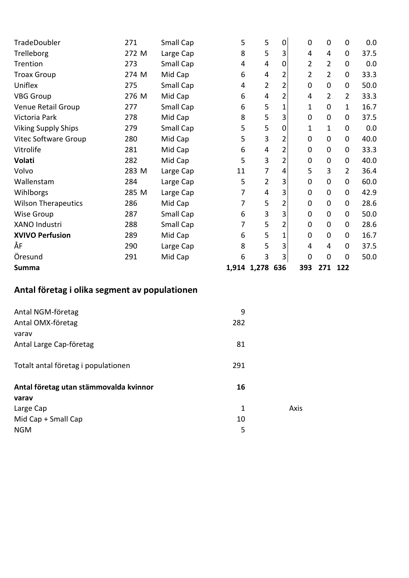| TradeDoubler               | 271   | Small Cap | 5  | 5               | 0              | 0           | 0              | $\mathbf 0$    | 0.0  |
|----------------------------|-------|-----------|----|-----------------|----------------|-------------|----------------|----------------|------|
| Trelleborg                 | 272 M | Large Cap | 8  | $\overline{5}$  | 3              | 4           | 4              | $\mathbf 0$    | 37.5 |
| Trention                   | 273   | Small Cap | 4  | 4               | 0              | 2           | $\overline{2}$ | $\mathbf 0$    | 0.0  |
| <b>Troax Group</b>         | 274 M | Mid Cap   | 6  | 4               | 2              | 2           | $\overline{2}$ | $\mathbf 0$    | 33.3 |
| Uniflex                    | 275   | Small Cap | 4  | $\overline{2}$  | 2              | 0           | 0              | 0              | 50.0 |
| <b>VBG Group</b>           | 276 M | Mid Cap   | 6  | 4               | 2              | 4           | $\overline{2}$ | $\overline{2}$ | 33.3 |
| Venue Retail Group         | 277   | Small Cap | 6  | 5               | 1              | 1           | 0              | $\mathbf{1}$   | 16.7 |
| Victoria Park              | 278   | Mid Cap   | 8  | 5               | 3              | 0           | 0              | 0              | 37.5 |
| <b>Viking Supply Ships</b> | 279   | Small Cap | 5  | 5               | 0              | 1           | $\mathbf{1}$   | $\mathbf 0$    | 0.0  |
| Vitec Software Group       | 280   | Mid Cap   | 5  | 3               | 2              | $\mathbf 0$ | 0              | 0              | 40.0 |
| Vitrolife                  | 281   | Mid Cap   | 6  | 4               | 2              | 0           | 0              | 0              | 33.3 |
| Volati                     | 282   | Mid Cap   | 5  | 3               | $\overline{2}$ | $\mathbf 0$ | 0              | $\mathbf 0$    | 40.0 |
| Volvo                      | 283 M | Large Cap | 11 | 7               | 4              | 5           | 3              | $\overline{2}$ | 36.4 |
| Wallenstam                 | 284   | Large Cap | 5  | $\overline{2}$  | 3              | 0           | 0              | 0              | 60.0 |
| Wihlborgs                  | 285 M | Large Cap | 7  | 4               | 3              | 0           | 0              | 0              | 42.9 |
| <b>Wilson Therapeutics</b> | 286   | Mid Cap   | 7  | 5               | 2              | 0           | 0              | 0              | 28.6 |
| <b>Wise Group</b>          | 287   | Small Cap | 6  | 3               | 3              | $\mathbf 0$ | 0              | 0              | 50.0 |
| <b>XANO Industri</b>       | 288   | Small Cap | 7  | 5               | 2              | 0           | 0              | 0              | 28.6 |
| <b>XVIVO Perfusion</b>     | 289   | Mid Cap   | 6  | 5               | 1              | 0           | 0              | 0              | 16.7 |
| ÅF                         | 290   | Large Cap | 8  | 5               | 3              | 4           | 4              | 0              | 37.5 |
| Öresund                    | 291   | Mid Cap   | 6  | 3               | 3              | 0           | 0              | $\mathbf 0$    | 50.0 |
| <b>Summa</b>               |       |           |    | 1,914 1,278 636 |                | 393         | 271            | 122            |      |

# Antal företag i olika segment av populationen

| Antal NGM-företag<br>Antal OMX-företag | 9<br>282 |      |
|----------------------------------------|----------|------|
| varav<br>Antal Large Cap-företag       | 81       |      |
|                                        |          |      |
| Totalt antal företag i populationen    | 291      |      |
| Antal företag utan stämmovalda kvinnor | 16       |      |
| varav                                  |          |      |
| Large Cap                              | 1        | Axis |
| Mid Cap + Small Cap                    | 10       |      |
| <b>NGM</b>                             | 5        |      |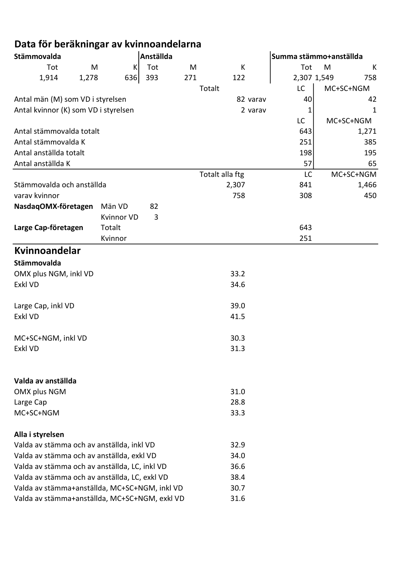# Data för beräkningar av kvinnoandelarna

| Stämmovalda                                   |       |            | Anställda |     |                 |          | Summa stämmo+anställda |   |           |
|-----------------------------------------------|-------|------------|-----------|-----|-----------------|----------|------------------------|---|-----------|
| Tot                                           | M     | K          | Tot       | M   | К               |          | Tot                    | M | К         |
| 1,914                                         | 1,278 | 636        | 393       | 271 | 122             |          | 2,307 1,549            |   | 758       |
|                                               |       |            |           |     | Totalt          |          | LC                     |   | MC+SC+NGM |
| Antal män (M) som VD i styrelsen              |       |            |           |     |                 | 82 varav | 40                     |   | 42        |
| Antal kvinnor (K) som VD i styrelsen          |       |            |           |     |                 | 2 varav  | 1                      |   | 1         |
|                                               |       |            |           |     |                 |          | LC                     |   | MC+SC+NGM |
| Antal stämmovalda totalt                      |       |            |           |     |                 |          | 643                    |   | 1,271     |
| Antal stämmovalda K                           |       |            |           |     |                 |          | 251                    |   | 385       |
| Antal anställda totalt                        |       |            |           |     |                 |          | 198                    |   | 195       |
| Antal anställda K                             |       |            |           |     |                 |          | 57                     |   | 65        |
|                                               |       |            |           |     | Totalt alla ftg |          | LC                     |   | MC+SC+NGM |
| Stämmovalda och anställda                     |       |            |           |     | 2,307           |          | 841                    |   | 1,466     |
| varav kvinnor                                 |       |            |           |     | 758             |          | 308                    |   | 450       |
| NasdaqOMX-företagen                           |       | Män VD     | 82        |     |                 |          |                        |   |           |
|                                               |       | Kvinnor VD | 3         |     |                 |          |                        |   |           |
| Large Cap-företagen                           |       | Totalt     |           |     |                 |          | 643                    |   |           |
|                                               |       | Kvinnor    |           |     |                 |          | 251                    |   |           |
| Kvinnoandelar                                 |       |            |           |     |                 |          |                        |   |           |
| Stämmovalda                                   |       |            |           |     |                 |          |                        |   |           |
| OMX plus NGM, inkl VD                         |       |            |           |     | 33.2            |          |                        |   |           |
| Exkl VD                                       |       |            |           |     | 34.6            |          |                        |   |           |
|                                               |       |            |           |     |                 |          |                        |   |           |
| Large Cap, inkl VD                            |       |            |           |     | 39.0            |          |                        |   |           |
| Exkl VD                                       |       |            |           |     | 41.5            |          |                        |   |           |
|                                               |       |            |           |     |                 |          |                        |   |           |
| MC+SC+NGM, inkl VD                            |       |            |           |     | 30.3            |          |                        |   |           |
| Exkl VD                                       |       |            |           |     | 31.3            |          |                        |   |           |
|                                               |       |            |           |     |                 |          |                        |   |           |
|                                               |       |            |           |     |                 |          |                        |   |           |
| Valda av anställda                            |       |            |           |     |                 |          |                        |   |           |
| OMX plus NGM                                  |       |            |           |     | 31.0<br>28.8    |          |                        |   |           |
| Large Cap<br>MC+SC+NGM                        |       |            |           |     | 33.3            |          |                        |   |           |
|                                               |       |            |           |     |                 |          |                        |   |           |
| Alla i styrelsen                              |       |            |           |     |                 |          |                        |   |           |
| Valda av stämma och av anställda, inkl VD     |       |            |           |     | 32.9            |          |                        |   |           |
| Valda av stämma och av anställda, exkl VD     |       |            |           |     | 34.0            |          |                        |   |           |
| Valda av stämma och av anställda, LC, inkl VD |       |            |           |     | 36.6            |          |                        |   |           |
| Valda av stämma och av anställda, LC, exkl VD |       |            |           |     | 38.4            |          |                        |   |           |
| Valda av stämma+anställda, MC+SC+NGM, inkl VD |       |            |           |     | 30.7            |          |                        |   |           |
| Valda av stämma+anställda, MC+SC+NGM, exkl VD |       |            |           |     | 31.6            |          |                        |   |           |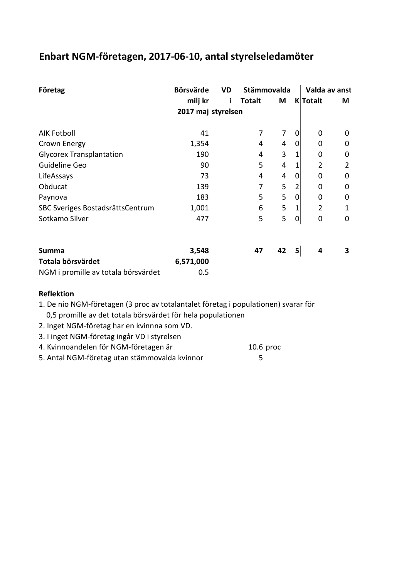#### Enbart NGM-företagen, 2017-06-10, antal styrelseledamöter

| Företag                             | <b>Börsvärde</b>   | Stämmovalda<br>VD |               |    |             |                | Valda av anst  |  |  |  |
|-------------------------------------|--------------------|-------------------|---------------|----|-------------|----------------|----------------|--|--|--|
|                                     | milj kr            |                   | <b>Totalt</b> | M  |             | K Totalt       | M              |  |  |  |
|                                     | 2017 maj styrelsen |                   |               |    |             |                |                |  |  |  |
|                                     |                    |                   |               |    |             |                |                |  |  |  |
| <b>AIK Fotboll</b>                  | 41                 |                   | 7             | 7  | 0           | 0              | 0              |  |  |  |
| Crown Energy                        | 1,354              |                   | 4             | 4  | $\mathbf 0$ | 0              | $\mathbf 0$    |  |  |  |
| <b>Glycorex Transplantation</b>     | 190                |                   | 4             | 3  | 1           | 0              | $\mathbf 0$    |  |  |  |
| Guideline Geo                       | 90                 |                   | 5             | 4  | 1           | 2              | $\overline{2}$ |  |  |  |
| LifeAssays                          | 73                 |                   | 4             | 4  | 0           | 0              | 0              |  |  |  |
| Obducat                             | 139                |                   | 7             | 5  | 2           | 0              | $\mathbf 0$    |  |  |  |
| Paynova                             | 183                |                   | 5             | 5  | 0           | 0              | 0              |  |  |  |
| SBC Sveriges BostadsrättsCentrum    | 1,001              |                   | 6             | 5  | 1           | $\overline{2}$ | 1              |  |  |  |
| Sotkamo Silver                      | 477                |                   | 5             | 5  | 0           | $\mathbf 0$    | $\mathbf 0$    |  |  |  |
| <b>Summa</b>                        | 3,548              |                   | 47            | 42 | 5           | 4              | 3              |  |  |  |
| Totala börsvärdet                   | 6,571,000          |                   |               |    |             |                |                |  |  |  |
| NGM i promille av totala börsvärdet | 0.5                |                   |               |    |             |                |                |  |  |  |

#### Reflektion

1. De nio NGM-företagen (3 proc av totalantalet företag i populationen) svarar för 0,5 promille av det totala börsvärdet för hela populationen

2. Inget NGM-företag har en kvinnna som VD.

3. I inget NGM-företag ingår VD i styrelsen

4. Kvinnoandelen för NGM-företagen är 10.6 proc

5. Antal NGM-företag utan stämmovalda kvinnor 5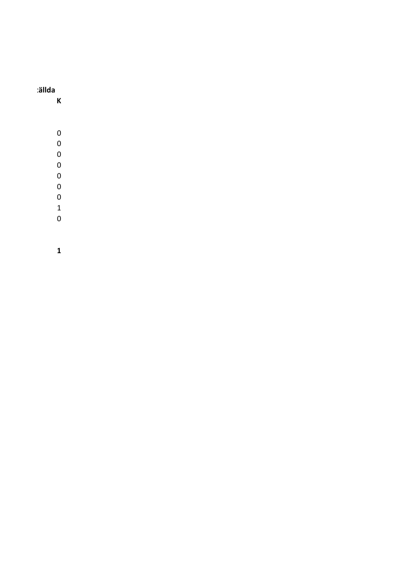#### ällda

- K
	-
	-
	-
	-
	-
- 
- 
- $\overline{0}$
-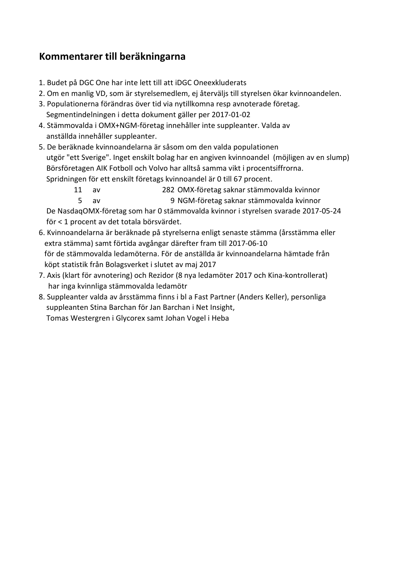## Kommentarer till beräkningarna

- 1. Budet på DGC One har inte lett till att iDGC Oneexkluderats
- 2. Om en manlig VD, som är styrelsemedlem, ej återväljs till styrelsen ökar kvinnoandelen.
- 3. Populationerna förändras över tid via nytillkomna resp avnoterade företag. Segmentindelningen i detta dokument gäller per 2017-01-02
- 4. Stämmovalda i OMX+NGM-företag innehåller inte suppleanter. Valda av anställda innehåller suppleanter.
- 5. De beräknade kvinnoandelarna är såsom om den valda populationen utgör "ett Sverige". Inget enskilt bolag har en angiven kvinnoandel (möjligen av en slump) Börsföretagen AIK Fotboll och Volvo har alltså samma vikt i procentsiffrorna. Spridningen för ett enskilt företags kvinnoandel är 0 till 67 procent.
	- 11 av 282 OMX-företag saknar stämmovalda kvinnor
		- 5 av 9 NGM-företag saknar stämmovalda kvinnor

 De NasdaqOMX-företag som har 0 stämmovalda kvinnor i styrelsen svarade 2017-05-24 för < 1 procent av det totala börsvärdet.

- 6. Kvinnoandelarna är beräknade på styrelserna enligt senaste stämma (årsstämma eller extra stämma) samt förtida avgångar därefter fram till 2017-06-10 för de stämmovalda ledamöterna. För de anställda är kvinnoandelarna hämtade från köpt statistik från Bolagsverket i slutet av maj 2017
- 7. Axis (klart för avnotering) och Rezidor (8 nya ledamöter 2017 och Kina-kontrollerat) har inga kvinnliga stämmovalda ledamötr
- 8. Suppleanter valda av årsstämma finns i bl a Fast Partner (Anders Keller), personliga suppleanten Stina Barchan för Jan Barchan i Net Insight, Tomas Westergren i Glycorex samt Johan Vogel i Heba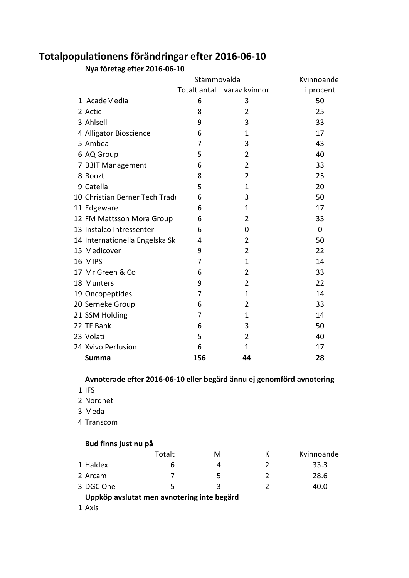## Totalpopulationens förändringar efter 2016-06-10

Nya företag efter 2016-06-10

|                                | Stämmovalda |                            | Kvinnoandel |
|--------------------------------|-------------|----------------------------|-------------|
|                                |             | Totalt antal varav kvinnor | i procent   |
| 1 AcadeMedia                   | 6           | 3                          | 50          |
| 2 Actic                        | 8           | 2                          | 25          |
| 3 Ahlsell                      | 9           | 3                          | 33          |
| 4 Alligator Bioscience         | 6           | 1                          | 17          |
| 5 Ambea                        | 7           | 3                          | 43          |
| 6 AQ Group                     | 5           | $\overline{2}$             | 40          |
| 7 B3IT Management              | 6           | 2                          | 33          |
| 8 Boozt                        | 8           | $\overline{2}$             | 25          |
| 9 Catella                      | 5           | $\mathbf 1$                | 20          |
| 10 Christian Berner Tech Trade | 6           | 3                          | 50          |
| 11 Edgeware                    | 6           | 1                          | 17          |
| 12 FM Mattsson Mora Group      | 6           | 2                          | 33          |
| 13 Instalco Intressenter       | 6           | 0                          | 0           |
| 14 Internationella Engelska Sk | 4           | 2                          | 50          |
| 15 Medicover                   | 9           | 2                          | 22          |
| 16 MIPS                        | 7           | $\mathbf 1$                | 14          |
| 17 Mr Green & Co               | 6           | 2                          | 33          |
| 18 Munters                     | 9           | $\overline{2}$             | 22          |
| 19 Oncopeptides                | 7           | 1                          | 14          |
| 20 Serneke Group               | 6           | 2                          | 33          |
| 21 SSM Holding                 | 7           | $\mathbf 1$                | 14          |
| 22 TF Bank                     | 6           | 3                          | 50          |
| 23 Volati                      | 5           | 2                          | 40          |
| 24 Xvivo Perfusion             | 6           | $\mathbf 1$                | 17          |
| <b>Summa</b>                   | 156         | 44                         | 28          |

#### Avnoterade efter 2016-06-10 eller begärd ännu ej genomförd avnotering

- IFS
- Nordnet
- Meda
- Transcom

#### Bud finns just nu på

|                                            | Totalt | м |  | Kvinnoandel |  |  |
|--------------------------------------------|--------|---|--|-------------|--|--|
| 1 Haldex                                   |        | 4 |  | 33.3        |  |  |
| 2 Arcam                                    |        | 5 |  | 28.6        |  |  |
| 3 DGC One                                  |        | ર |  | 40.0        |  |  |
| Uppköp avslutat men avnotering inte begärd |        |   |  |             |  |  |

Axis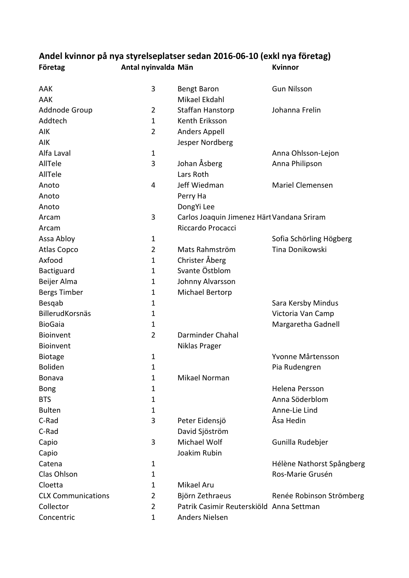## Andel kvinnor på nya styrelseplatser sedan 2016-06-10 (exkl nya företag) Företag **Antal nyinvalda Män** Kvinnor

| Mikael Ekdahl<br>AAK<br>Addnode Group<br>$\overline{2}$<br>Staffan Hanstorp<br>Johanna Frelin<br>Addtech<br>Kenth Eriksson<br>1<br>$\overline{2}$<br><b>Anders Appell</b><br>AIK<br>Jesper Nordberg<br>AIK<br>Alfa Laval<br>$\mathbf{1}$<br>Anna Ohlsson-Lejon<br>Johan Åsberg<br>AllTele<br>3<br>Anna Philipson<br>Lars Roth<br>AllTele<br>4<br>Jeff Wiedman<br><b>Mariel Clemensen</b><br>Anoto<br>Anoto<br>Perry Ha<br>DongYi Lee<br>Anoto<br>3<br>Carlos Joaquin Jimenez Härt Vandana Sriram<br>Arcam<br>Riccardo Procacci<br>Arcam<br>Assa Abloy<br>$\mathbf 1$<br>Sofia Schörling Högberg<br>Tina Donikowski<br><b>Atlas Copco</b><br>Mats Rahmström<br>2 |     |   |                    | <b>Gun Nilsson</b> |
|-----------------------------------------------------------------------------------------------------------------------------------------------------------------------------------------------------------------------------------------------------------------------------------------------------------------------------------------------------------------------------------------------------------------------------------------------------------------------------------------------------------------------------------------------------------------------------------------------------------------------------------------------------------------|-----|---|--------------------|--------------------|
|                                                                                                                                                                                                                                                                                                                                                                                                                                                                                                                                                                                                                                                                 | AAK | 3 | <b>Bengt Baron</b> |                    |
|                                                                                                                                                                                                                                                                                                                                                                                                                                                                                                                                                                                                                                                                 |     |   |                    |                    |
|                                                                                                                                                                                                                                                                                                                                                                                                                                                                                                                                                                                                                                                                 |     |   |                    |                    |
|                                                                                                                                                                                                                                                                                                                                                                                                                                                                                                                                                                                                                                                                 |     |   |                    |                    |
|                                                                                                                                                                                                                                                                                                                                                                                                                                                                                                                                                                                                                                                                 |     |   |                    |                    |
|                                                                                                                                                                                                                                                                                                                                                                                                                                                                                                                                                                                                                                                                 |     |   |                    |                    |
|                                                                                                                                                                                                                                                                                                                                                                                                                                                                                                                                                                                                                                                                 |     |   |                    |                    |
|                                                                                                                                                                                                                                                                                                                                                                                                                                                                                                                                                                                                                                                                 |     |   |                    |                    |
|                                                                                                                                                                                                                                                                                                                                                                                                                                                                                                                                                                                                                                                                 |     |   |                    |                    |
|                                                                                                                                                                                                                                                                                                                                                                                                                                                                                                                                                                                                                                                                 |     |   |                    |                    |
|                                                                                                                                                                                                                                                                                                                                                                                                                                                                                                                                                                                                                                                                 |     |   |                    |                    |
|                                                                                                                                                                                                                                                                                                                                                                                                                                                                                                                                                                                                                                                                 |     |   |                    |                    |
|                                                                                                                                                                                                                                                                                                                                                                                                                                                                                                                                                                                                                                                                 |     |   |                    |                    |
|                                                                                                                                                                                                                                                                                                                                                                                                                                                                                                                                                                                                                                                                 |     |   |                    |                    |
|                                                                                                                                                                                                                                                                                                                                                                                                                                                                                                                                                                                                                                                                 |     |   |                    |                    |
|                                                                                                                                                                                                                                                                                                                                                                                                                                                                                                                                                                                                                                                                 |     |   |                    |                    |
| Christer Åberg<br>Axfood<br>$\mathbf{1}$                                                                                                                                                                                                                                                                                                                                                                                                                                                                                                                                                                                                                        |     |   |                    |                    |
| Svante Östblom<br>Bactiguard<br>$\mathbf 1$                                                                                                                                                                                                                                                                                                                                                                                                                                                                                                                                                                                                                     |     |   |                    |                    |
| Beijer Alma<br>Johnny Alvarsson<br>1                                                                                                                                                                                                                                                                                                                                                                                                                                                                                                                                                                                                                            |     |   |                    |                    |
| <b>Bergs Timber</b><br>Michael Bertorp<br>1                                                                                                                                                                                                                                                                                                                                                                                                                                                                                                                                                                                                                     |     |   |                    |                    |
| Besgab<br>Sara Kersby Mindus<br>1                                                                                                                                                                                                                                                                                                                                                                                                                                                                                                                                                                                                                               |     |   |                    |                    |
| BillerudKorsnäs<br>Victoria Van Camp<br>1                                                                                                                                                                                                                                                                                                                                                                                                                                                                                                                                                                                                                       |     |   |                    |                    |
| <b>BioGaia</b><br>Margaretha Gadnell<br>1                                                                                                                                                                                                                                                                                                                                                                                                                                                                                                                                                                                                                       |     |   |                    |                    |
| Darminder Chahal<br>Bioinvent<br>$\overline{2}$                                                                                                                                                                                                                                                                                                                                                                                                                                                                                                                                                                                                                 |     |   |                    |                    |
| Bioinvent<br>Niklas Prager                                                                                                                                                                                                                                                                                                                                                                                                                                                                                                                                                                                                                                      |     |   |                    |                    |
| Yvonne Mårtensson<br><b>Biotage</b><br>1                                                                                                                                                                                                                                                                                                                                                                                                                                                                                                                                                                                                                        |     |   |                    |                    |
| <b>Boliden</b><br>$\mathbf{1}$<br>Pia Rudengren                                                                                                                                                                                                                                                                                                                                                                                                                                                                                                                                                                                                                 |     |   |                    |                    |
| Mikael Norman<br>1<br><b>Bonava</b>                                                                                                                                                                                                                                                                                                                                                                                                                                                                                                                                                                                                                             |     |   |                    |                    |
| <b>Bong</b><br>Helena Persson<br>1                                                                                                                                                                                                                                                                                                                                                                                                                                                                                                                                                                                                                              |     |   |                    |                    |
| Anna Söderblom<br><b>BTS</b><br>1                                                                                                                                                                                                                                                                                                                                                                                                                                                                                                                                                                                                                               |     |   |                    |                    |
| <b>Bulten</b><br>Anne-Lie Lind<br>1                                                                                                                                                                                                                                                                                                                                                                                                                                                                                                                                                                                                                             |     |   |                    |                    |
| 3<br>Åsa Hedin<br>C-Rad<br>Peter Eidensjö                                                                                                                                                                                                                                                                                                                                                                                                                                                                                                                                                                                                                       |     |   |                    |                    |
| C-Rad<br>David Sjöström                                                                                                                                                                                                                                                                                                                                                                                                                                                                                                                                                                                                                                         |     |   |                    |                    |
| Michael Wolf<br>3<br>Gunilla Rudebjer<br>Capio                                                                                                                                                                                                                                                                                                                                                                                                                                                                                                                                                                                                                  |     |   |                    |                    |
| Joakim Rubin<br>Capio                                                                                                                                                                                                                                                                                                                                                                                                                                                                                                                                                                                                                                           |     |   |                    |                    |
| Hélène Nathorst Spångberg<br>Catena<br>1                                                                                                                                                                                                                                                                                                                                                                                                                                                                                                                                                                                                                        |     |   |                    |                    |
| Ros-Marie Grusén<br>Clas Ohlson<br>1                                                                                                                                                                                                                                                                                                                                                                                                                                                                                                                                                                                                                            |     |   |                    |                    |
| Mikael Aru<br>Cloetta<br>1                                                                                                                                                                                                                                                                                                                                                                                                                                                                                                                                                                                                                                      |     |   |                    |                    |
| <b>CLX Communications</b><br>Björn Zethraeus<br>2<br>Renée Robinson Strömberg                                                                                                                                                                                                                                                                                                                                                                                                                                                                                                                                                                                   |     |   |                    |                    |
| Patrik Casimir Reuterskiöld Anna Settman<br>Collector<br>2                                                                                                                                                                                                                                                                                                                                                                                                                                                                                                                                                                                                      |     |   |                    |                    |
| Concentric<br>Anders Nielsen<br>1                                                                                                                                                                                                                                                                                                                                                                                                                                                                                                                                                                                                                               |     |   |                    |                    |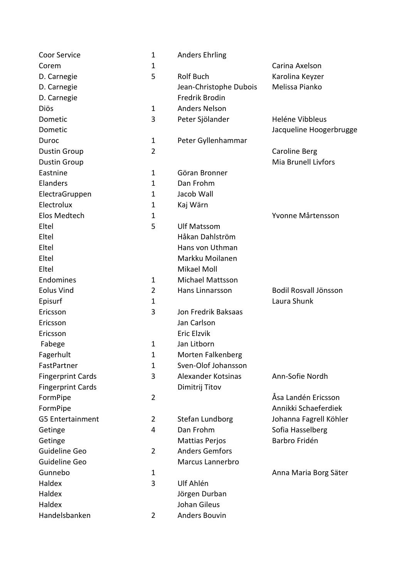| <b>Coor Service</b>      | $\mathbf 1$    | <b>Anders Ehrling</b>   |                         |
|--------------------------|----------------|-------------------------|-------------------------|
| Corem                    | 1              |                         | Carina Axelson          |
| D. Carnegie              | 5              | <b>Rolf Buch</b>        | Karolina Keyzer         |
| D. Carnegie              |                | Jean-Christophe Dubois  | Melissa Pianko          |
| D. Carnegie              |                | Fredrik Brodin          |                         |
| Diös                     | $\mathbf 1$    | <b>Anders Nelson</b>    |                         |
| Dometic                  | 3              | Peter Sjölander         | Heléne Vibbleus         |
| Dometic                  |                |                         | Jacqueline Hoogerbrugge |
| Duroc                    | $\mathbf{1}$   | Peter Gyllenhammar      |                         |
| <b>Dustin Group</b>      | $\overline{2}$ |                         | <b>Caroline Berg</b>    |
| <b>Dustin Group</b>      |                |                         | Mia Brunell Livfors     |
| Eastnine                 | $\mathbf{1}$   | Göran Bronner           |                         |
| Elanders                 | $\mathbf{1}$   | Dan Frohm               |                         |
| ElectraGruppen           | 1              | Jacob Wall              |                         |
| Electrolux               | $\mathbf{1}$   | Kaj Wärn                |                         |
| Elos Medtech             | 1              |                         | Yvonne Mårtensson       |
| Eltel                    | 5              | <b>Ulf Matssom</b>      |                         |
| Eltel                    |                | Håkan Dahlström         |                         |
| Eltel                    |                | Hans von Uthman         |                         |
| Eltel                    |                | Markku Moilanen         |                         |
| Eltel                    |                | Mikael Moll             |                         |
| Endomines                | $\mathbf 1$    | <b>Michael Mattsson</b> |                         |
| <b>Eolus Vind</b>        | $\overline{2}$ | Hans Linnarsson         | Bodil Rosvall Jönsson   |
| Episurf                  | 1              |                         | Laura Shunk             |
| Ericsson                 | 3              | Jon Fredrik Baksaas     |                         |
| Ericsson                 |                | Jan Carlson             |                         |
| Ericsson                 |                | Eric Elzvik             |                         |
| Fabege                   | $\mathbf 1$    | Jan Litborn             |                         |
| Fagerhult                | 1              | Morten Falkenberg       |                         |
| FastPartner              | $\mathbf{1}$   | Sven-Olof Johansson     |                         |
| <b>Fingerprint Cards</b> | 3              | Alexander Kotsinas      | Ann-Sofie Nordh         |
| <b>Fingerprint Cards</b> |                | Dimitrij Titov          |                         |
| FormPipe                 | $\overline{2}$ |                         | Åsa Landén Ericsson     |
| FormPipe                 |                |                         | Annikki Schaeferdiek    |
| <b>G5 Entertainment</b>  | $\overline{2}$ | Stefan Lundborg         | Johanna Fagrell Köhler  |
| Getinge                  | 4              | Dan Frohm               | Sofia Hasselberg        |
| Getinge                  |                | <b>Mattias Perjos</b>   | Barbro Fridén           |
| Guideline Geo            | $\overline{2}$ | <b>Anders Gemfors</b>   |                         |
| Guideline Geo            |                | Marcus Lannerbro        |                         |
| Gunnebo                  | $\mathbf{1}$   |                         | Anna Maria Borg Säter   |
| Haldex                   | 3              | Ulf Ahlén               |                         |
| Haldex                   |                | Jörgen Durban           |                         |
| Haldex                   |                | <b>Johan Gileus</b>     |                         |
| Handelsbanken            | $\overline{2}$ | <b>Anders Bouvin</b>    |                         |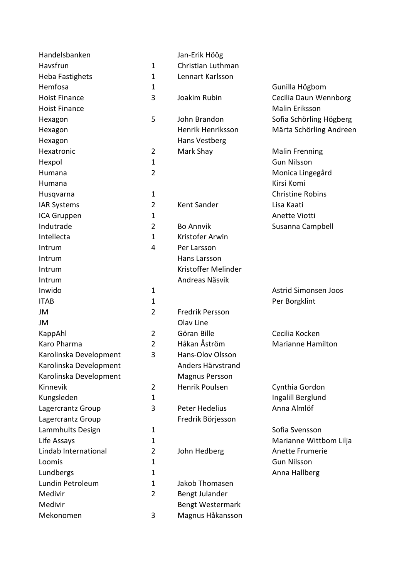| Handelsbanken          |                | Jan-Erik Höög          |                             |
|------------------------|----------------|------------------------|-----------------------------|
| Havsfrun               | $\mathbf{1}$   | Christian Luthman      |                             |
| Heba Fastighets        | $\mathbf{1}$   | Lennart Karlsson       |                             |
| Hemfosa                | $\mathbf{1}$   |                        | Gunilla Högbom              |
| <b>Hoist Finance</b>   | 3              | Joakim Rubin           | Cecilia Daun Wennborg       |
| <b>Hoist Finance</b>   |                |                        | Malin Eriksson              |
| Hexagon                | 5              | John Brandon           | Sofia Schörling Högberg     |
| Hexagon                |                | Henrik Henriksson      | Märta Schörling Andreen     |
| Hexagon                |                | Hans Vestberg          |                             |
| Hexatronic             | $\overline{2}$ | Mark Shay              | <b>Malin Frenning</b>       |
| Hexpol                 | $\mathbf{1}$   |                        | <b>Gun Nilsson</b>          |
| Humana                 | $\overline{2}$ |                        | Monica Lingegård            |
| Humana                 |                |                        | Kirsi Komi                  |
| Husqvarna              | $\mathbf{1}$   |                        | <b>Christine Robins</b>     |
| <b>IAR Systems</b>     | $\overline{2}$ | Kent Sander            | Lisa Kaati                  |
| ICA Gruppen            | $\mathbf{1}$   |                        | <b>Anette Viotti</b>        |
| Indutrade              | $\overline{2}$ | <b>Bo Annvik</b>       | Susanna Campbell            |
| Intellecta             | $\mathbf{1}$   | Kristofer Arwin        |                             |
| Intrum                 | 4              | Per Larsson            |                             |
| Intrum                 |                | Hans Larsson           |                             |
| Intrum                 |                | Kristoffer Melinder    |                             |
| Intrum                 |                | Andreas Näsvik         |                             |
| Inwido                 | $\mathbf 1$    |                        | <b>Astrid Simonsen Joos</b> |
| <b>ITAB</b>            | $\mathbf{1}$   |                        | Per Borgklint               |
| JM                     | $\overline{2}$ | <b>Fredrik Persson</b> |                             |
| JM                     |                | Olav Line              |                             |
| KappAhl                | $\overline{2}$ | Göran Bille            | Cecilia Kocken              |
| Karo Pharma            | $\overline{2}$ | Håkan Åström           | <b>Marianne Hamilton</b>    |
| Karolinska Development | 3              | Hans-Olov Olsson       |                             |
| Karolinska Development |                | Anders Härvstrand      |                             |
| Karolinska Development |                | <b>Magnus Persson</b>  |                             |
| Kinnevik               | $\overline{2}$ | Henrik Poulsen         | Cynthia Gordon              |
| Kungsleden             | $\mathbf{1}$   |                        | Ingalill Berglund           |
| Lagercrantz Group      | 3              | Peter Hedelius         | Anna Almlöf                 |
| Lagercrantz Group      |                | Fredrik Börjesson      |                             |
| Lammhults Design       | $\mathbf{1}$   |                        | Sofia Svensson              |
| Life Assays            | $\mathbf{1}$   |                        | Marianne Wittbom Lilja      |
| Lindab International   | 2              | John Hedberg           | Anette Frumerie             |
| Loomis                 | $\mathbf 1$    |                        | <b>Gun Nilsson</b>          |
| Lundbergs              | 1              |                        | Anna Hallberg               |
| Lundin Petroleum       | $\mathbf{1}$   | Jakob Thomasen         |                             |
| Medivir                | $\overline{2}$ | Bengt Julander         |                             |
| Medivir                |                | Bengt Westermark       |                             |
| Mekonomen              | 3              | Magnus Håkansson       |                             |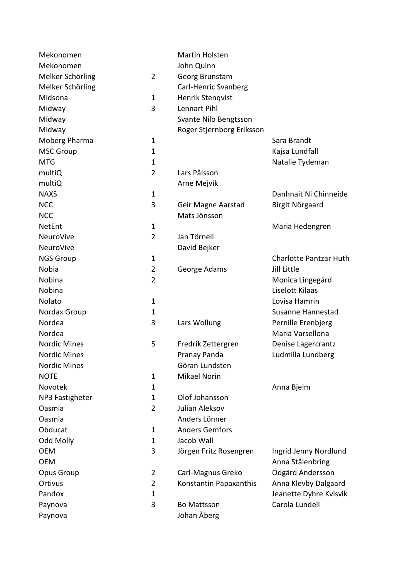| Mekonomen           |                | Martin Holsten            |                               |
|---------------------|----------------|---------------------------|-------------------------------|
| Mekonomen           |                | John Quinn                |                               |
| Melker Schörling    | $\overline{2}$ | Georg Brunstam            |                               |
| Melker Schörling    |                | Carl-Henric Svanberg      |                               |
| Midsona             | $\mathbf{1}$   | Henrik Stenqvist          |                               |
| Midway              | 3              | Lennart Pihl              |                               |
| Midway              |                | Svante Nilo Bengtsson     |                               |
| Midway              |                | Roger Stjernborg Eriksson |                               |
| Moberg Pharma       | $\mathbf 1$    |                           | Sara Brandt                   |
| <b>MSC Group</b>    | $\mathbf{1}$   |                           | Kajsa Lundfall                |
| <b>MTG</b>          | $\mathbf 1$    |                           | Natalie Tydeman               |
| multiQ              | $\overline{2}$ | Lars Pålsson              |                               |
| multiQ              |                | Arne Mejvik               |                               |
| <b>NAXS</b>         | $\mathbf 1$    |                           | Danhnait Ni Chinneide         |
| <b>NCC</b>          | 3              | Geir Magne Aarstad        | Birgit Nörgaard               |
| <b>NCC</b>          |                | Mats Jönsson              |                               |
| NetEnt              | $\mathbf{1}$   |                           | Maria Hedengren               |
| NeuroVive           | $\overline{2}$ | Jan Törnell               |                               |
| NeuroVive           |                | David Bejker              |                               |
| <b>NGS Group</b>    | $\mathbf{1}$   |                           | <b>Charlotte Pantzar Huth</b> |
| Nobia               | $\overline{2}$ | George Adams              | Jill Little                   |
| Nobina              | $\overline{2}$ |                           | Monica Lingegård              |
| Nobina              |                |                           | Liselott Kilaas               |
| Nolato              | $\mathbf 1$    |                           | Lovisa Hamrin                 |
| Nordax Group        | $\mathbf{1}$   |                           | Susanne Hannestad             |
| Nordea              | 3              | Lars Wollung              | Pernille Erenbjerg            |
| Nordea              |                |                           | Maria Varsellona              |
| <b>Nordic Mines</b> | 5              | Fredrik Zettergren        | Denise Lagercrantz            |
| <b>Nordic Mines</b> |                | Pranay Panda              | Ludmilla Lundberg             |
| <b>Nordic Mines</b> |                | Göran Lundsten            |                               |
| <b>NOTE</b>         | $\mathbf{1}$   | <b>Mikael Norin</b>       |                               |
| Novotek             | 1              |                           | Anna Bjelm                    |
| NP3 Fastigheter     | $\mathbf 1$    | Olof Johansson            |                               |
| Oasmia              | $\overline{2}$ | Julian Aleksov            |                               |
| Oasmia              |                | Anders Lönner             |                               |
| Obducat             | 1              | <b>Anders Gemfors</b>     |                               |
| <b>Odd Molly</b>    | $\mathbf{1}$   | Jacob Wall                |                               |
| <b>OEM</b>          | 3              | Jörgen Fritz Rosengren    | Ingrid Jenny Nordlund         |
| <b>OEM</b>          |                |                           | Anna Stålenbring              |
| Opus Group          | $\overline{2}$ | Carl-Magnus Greko         | Ödgärd Andersson              |
| Ortivus             | $\overline{2}$ | Konstantin Papaxanthis    | Anna Klevby Dalgaard          |
| Pandox              | $\mathbf{1}$   |                           | Jeanette Dyhre Kvisvik        |
| Paynova             | 3              | <b>Bo Mattsson</b>        | Carola Lundell                |
| Paynova             |                | Johan Åberg               |                               |
|                     |                |                           |                               |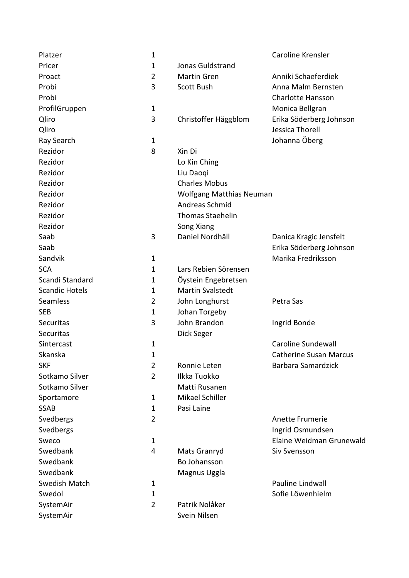| Platzer               | $\mathbf 1$    |                                 | Caroline Krensler             |
|-----------------------|----------------|---------------------------------|-------------------------------|
| Pricer                | $\mathbf 1$    | Jonas Guldstrand                |                               |
| Proact                | $\overline{2}$ | <b>Martin Gren</b>              | Anniki Schaeferdiek           |
| Probi                 | 3              | Scott Bush                      | Anna Malm Bernsten            |
| Probi                 |                |                                 | <b>Charlotte Hansson</b>      |
| ProfilGruppen         | $\mathbf 1$    |                                 | Monica Bellgran               |
| Qliro                 | 3              | Christoffer Häggblom            | Erika Söderberg Johnson       |
| Qliro                 |                |                                 | Jessica Thorell               |
| Ray Search            | $\mathbf 1$    |                                 | Johanna Öberg                 |
| Rezidor               | 8              | Xin Di                          |                               |
| Rezidor               |                | Lo Kin Ching                    |                               |
| Rezidor               |                | Liu Daogi                       |                               |
| Rezidor               |                | <b>Charles Mobus</b>            |                               |
| Rezidor               |                | <b>Wolfgang Matthias Neuman</b> |                               |
| Rezidor               |                | Andreas Schmid                  |                               |
| Rezidor               |                | <b>Thomas Staehelin</b>         |                               |
| Rezidor               |                | Song Xiang                      |                               |
| Saab                  | 3              | Daniel Nordhäll                 | Danica Kragic Jensfelt        |
| Saab                  |                |                                 | Erika Söderberg Johnson       |
| Sandvik               | $\mathbf 1$    |                                 | Marika Fredriksson            |
| <b>SCA</b>            | $\mathbf 1$    | Lars Rebien Sörensen            |                               |
| Scandi Standard       | $\mathbf 1$    | Öystein Engebretsen             |                               |
| <b>Scandic Hotels</b> | $\mathbf 1$    | <b>Martin Svalstedt</b>         |                               |
| Seamless              | 2              | John Longhurst                  | Petra Sas                     |
| <b>SEB</b>            | $\mathbf 1$    | Johan Torgeby                   |                               |
| Securitas             | 3              | John Brandon                    | Ingrid Bonde                  |
| Securitas             |                | Dick Seger                      |                               |
| Sintercast            | $\mathbf 1$    |                                 | Caroline Sundewall            |
| Skanska               | 1              |                                 | <b>Catherine Susan Marcus</b> |
| <b>SKF</b>            | $\overline{2}$ | Ronnie Leten                    | Barbara Samardzick            |
| Sotkamo Silver        | $\overline{2}$ | Ilkka Tuokko                    |                               |
| Sotkamo Silver        |                | Matti Rusanen                   |                               |
| Sportamore            | $\mathbf{1}$   | Mikael Schiller                 |                               |
| <b>SSAB</b>           | 1              | Pasi Laine                      |                               |
| Svedbergs             | $\overline{2}$ |                                 | Anette Frumerie               |
| Svedbergs             |                |                                 | Ingrid Osmundsen              |
| Sweco                 | $\mathbf 1$    |                                 | Elaine Weidman Grunewald      |
| Swedbank              | 4              | Mats Granryd                    | Siv Svensson                  |
| Swedbank              |                | Bo Johansson                    |                               |
| Swedbank              |                | Magnus Uggla                    |                               |
| Swedish Match         | 1              |                                 | Pauline Lindwall              |
| Swedol                | 1              |                                 | Sofie Löwenhielm              |
| SystemAir             | $\overline{2}$ | Patrik Nolåker                  |                               |
| SystemAir             |                | Svein Nilsen                    |                               |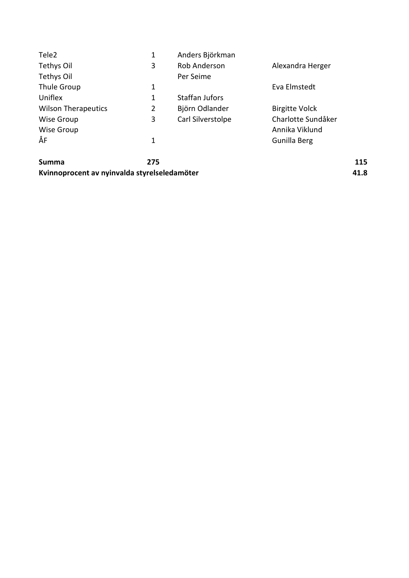| Tele <sub>2</sub>          | 1 | Anders Björkman       |                       |
|----------------------------|---|-----------------------|-----------------------|
| Tethys Oil                 | 3 | Rob Anderson          | Alexandra Herger      |
| Tethys Oil                 |   | Per Seime             |                       |
| Thule Group                | 1 |                       | Eva Elmstedt          |
| Uniflex                    | 1 | <b>Staffan Jufors</b> |                       |
| <b>Wilson Therapeutics</b> | 2 | Björn Odlander        | <b>Birgitte Volck</b> |
| Wise Group                 | 3 | Carl Silverstolpe     | Charlotte Sundåker    |
| Wise Group                 |   |                       | Annika Viklund        |
| ÅF                         | 1 |                       | Gunilla Berg          |
|                            |   |                       |                       |
|                            |   |                       |                       |

| Summa                                        | 275 | 115  |
|----------------------------------------------|-----|------|
| Kvinnoprocent av nyinvalda styrelseledamöter |     | 41.8 |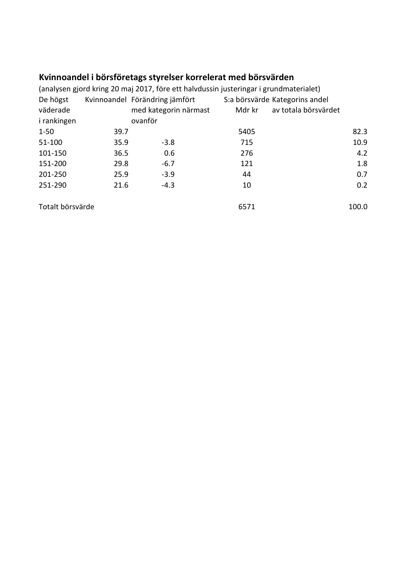# Kvinnoandel i börsföretags styrelser korrelerat med börsvärden

|                  |      |                                | (analysen gjord kring 20 maj 2017, före ett halvdussin justeringar i grundmaterialet) |        |                                |       |
|------------------|------|--------------------------------|---------------------------------------------------------------------------------------|--------|--------------------------------|-------|
| De högst         |      | Kvinnoandel Förändring jämfört |                                                                                       |        | S:a börsvärde Kategorins andel |       |
| väderade         |      | med kategorin närmast          |                                                                                       | Mdr kr | av totala börsvärdet           |       |
| i rankingen      |      | ovanför                        |                                                                                       |        |                                |       |
| $1 - 50$         | 39.7 |                                |                                                                                       | 5405   |                                | 82.3  |
| 51-100           | 35.9 | $-3.8$                         |                                                                                       | 715    |                                | 10.9  |
| 101-150          | 36.5 | 0.6                            |                                                                                       | 276    |                                | 4.2   |
| 151-200          | 29.8 | $-6.7$                         |                                                                                       | 121    |                                | 1.8   |
| 201-250          | 25.9 | $-3.9$                         |                                                                                       | 44     |                                | 0.7   |
| 251-290          | 21.6 | $-4.3$                         |                                                                                       | 10     |                                | 0.2   |
| Totalt börsvärde |      |                                |                                                                                       | 6571   |                                | 100.0 |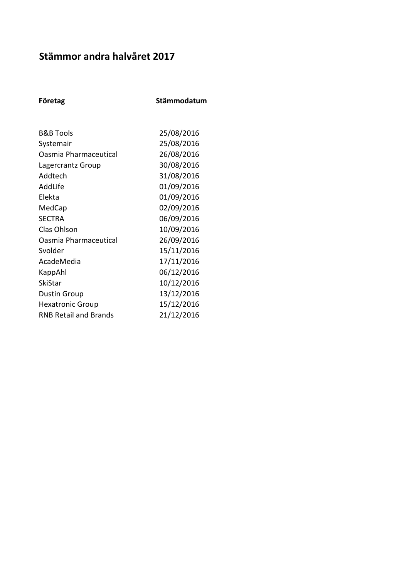## Stämmor andra halvåret 2017

|  | Företag |  |
|--|---------|--|
|--|---------|--|

Stämmodatum

| <b>B&amp;B Tools</b>         | 25/08/2016 |
|------------------------------|------------|
| Systemair                    | 25/08/2016 |
| Oasmia Pharmaceutical        | 26/08/2016 |
| Lagercrantz Group            | 30/08/2016 |
| Addtech                      | 31/08/2016 |
| AddLife                      | 01/09/2016 |
| Elekta                       | 01/09/2016 |
| MedCap                       | 02/09/2016 |
| <b>SECTRA</b>                | 06/09/2016 |
| <b>Clas Ohlson</b>           | 10/09/2016 |
| Oasmia Pharmaceutical        | 26/09/2016 |
| Svolder                      | 15/11/2016 |
| AcadeMedia                   | 17/11/2016 |
| KappAhl                      | 06/12/2016 |
| SkiStar                      | 10/12/2016 |
| <b>Dustin Group</b>          | 13/12/2016 |
| <b>Hexatronic Group</b>      | 15/12/2016 |
| <b>RNB Retail and Brands</b> | 21/12/2016 |